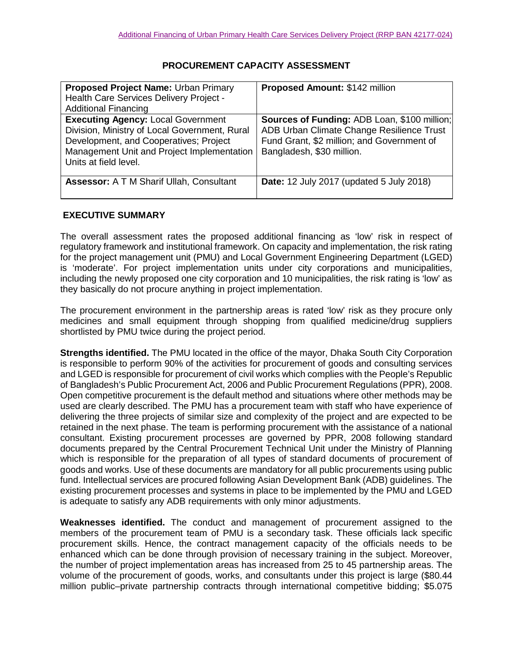## **PROCUREMENT CAPACITY ASSESSMENT**

| Proposed Project Name: Urban Primary<br>Health Care Services Delivery Project -<br><b>Additional Financing</b>                                                                                              | Proposed Amount: \$142 million                                                                                                                                              |
|-------------------------------------------------------------------------------------------------------------------------------------------------------------------------------------------------------------|-----------------------------------------------------------------------------------------------------------------------------------------------------------------------------|
| <b>Executing Agency: Local Government</b><br>Division, Ministry of Local Government, Rural<br>Development, and Cooperatives; Project<br>Management Unit and Project Implementation<br>Units at field level. | <b>Sources of Funding: ADB Loan, \$100 million;</b><br>ADB Urban Climate Change Resilience Trust<br>Fund Grant, \$2 million; and Government of<br>Bangladesh, \$30 million. |
| <b>Assessor: A T M Sharif Ullah, Consultant</b>                                                                                                                                                             | <b>Date:</b> 12 July 2017 (updated 5 July 2018)                                                                                                                             |

## **EXECUTIVE SUMMARY**

The overall assessment rates the proposed additional financing as 'low' risk in respect of regulatory framework and institutional framework. On capacity and implementation, the risk rating for the project management unit (PMU) and Local Government Engineering Department (LGED) is 'moderate'. For project implementation units under city corporations and municipalities, including the newly proposed one city corporation and 10 municipalities, the risk rating is 'low' as they basically do not procure anything in project implementation.

The procurement environment in the partnership areas is rated 'low' risk as they procure only medicines and small equipment through shopping from qualified medicine/drug suppliers shortlisted by PMU twice during the project period.

**Strengths identified.** The PMU located in the office of the mayor, Dhaka South City Corporation is responsible to perform 90% of the activities for procurement of goods and consulting services and LGED is responsible for procurement of civil works which complies with the People's Republic of Bangladesh's Public Procurement Act, 2006 and Public Procurement Regulations (PPR), 2008. Open competitive procurement is the default method and situations where other methods may be used are clearly described. The PMU has a procurement team with staff who have experience of delivering the three projects of similar size and complexity of the project and are expected to be retained in the next phase. The team is performing procurement with the assistance of a national consultant. Existing procurement processes are governed by PPR, 2008 following standard documents prepared by the Central Procurement Technical Unit under the Ministry of Planning which is responsible for the preparation of all types of standard documents of procurement of goods and works. Use of these documents are mandatory for all public procurements using public fund. Intellectual services are procured following Asian Development Bank (ADB) guidelines. The existing procurement processes and systems in place to be implemented by the PMU and LGED is adequate to satisfy any ADB requirements with only minor adjustments.

**Weaknesses identified.** The conduct and management of procurement assigned to the members of the procurement team of PMU is a secondary task. These officials lack specific procurement skills. Hence, the contract management capacity of the officials needs to be enhanced which can be done through provision of necessary training in the subject. Moreover, the number of project implementation areas has increased from 25 to 45 partnership areas. The volume of the procurement of goods, works, and consultants under this project is large (\$80.44 million public–private partnership contracts through international competitive bidding; \$5.075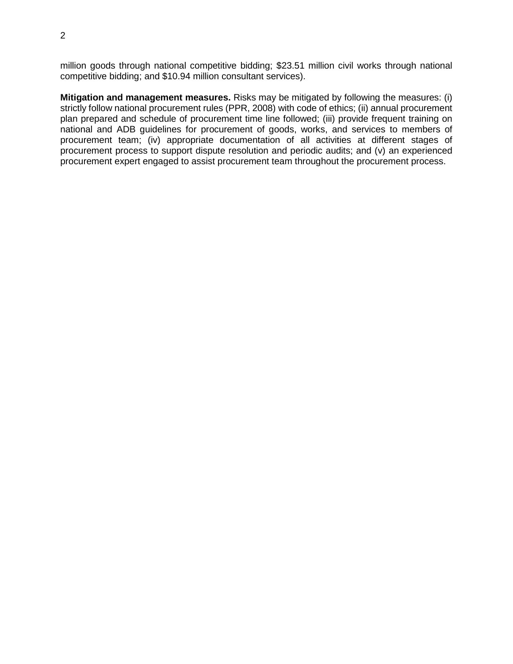million goods through national competitive bidding; \$23.51 million civil works through national competitive bidding; and \$10.94 million consultant services).

**Mitigation and management measures.** Risks may be mitigated by following the measures: (i) strictly follow national procurement rules (PPR, 2008) with code of ethics; (ii) annual procurement plan prepared and schedule of procurement time line followed; (iii) provide frequent training on national and ADB guidelines for procurement of goods, works, and services to members of procurement team; (iv) appropriate documentation of all activities at different stages of procurement process to support dispute resolution and periodic audits; and (v) an experienced procurement expert engaged to assist procurement team throughout the procurement process.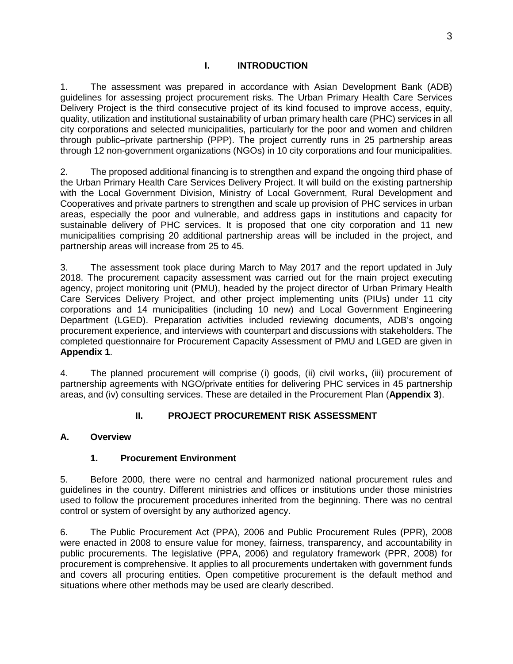1. The assessment was prepared in accordance with Asian Development Bank (ADB) guidelines for assessing project procurement risks. The Urban Primary Health Care Services Delivery Project is the third consecutive project of its kind focused to improve access, equity, quality, utilization and institutional sustainability of urban primary health care (PHC) services in all city corporations and selected municipalities, particularly for the poor and women and children through public–private partnership (PPP). The project currently runs in 25 partnership areas through 12 non-government organizations (NGOs) in 10 city corporations and four municipalities.

2. The proposed additional financing is to strengthen and expand the ongoing third phase of the Urban Primary Health Care Services Delivery Project. It will build on the existing partnership with the Local Government Division, Ministry of Local Government, Rural Development and Cooperatives and private partners to strengthen and scale up provision of PHC services in urban areas, especially the poor and vulnerable, and address gaps in institutions and capacity for sustainable delivery of PHC services. It is proposed that one city corporation and 11 new municipalities comprising 20 additional partnership areas will be included in the project, and partnership areas will increase from 25 to 45.

3. The assessment took place during March to May 2017 and the report updated in July 2018. The procurement capacity assessment was carried out for the main project executing agency, project monitoring unit (PMU), headed by the project director of Urban Primary Health Care Services Delivery Project, and other project implementing units (PIUs) under 11 city corporations and 14 municipalities (including 10 new) and Local Government Engineering Department (LGED). Preparation activities included reviewing documents, ADB's ongoing procurement experience, and interviews with counterpart and discussions with stakeholders. The completed questionnaire for Procurement Capacity Assessment of PMU and LGED are given in **Appendix 1**.

4. The planned procurement will comprise (i) goods, (ii) civil works**,** (iii) procurement of partnership agreements with NGO/private entities for delivering PHC services in 45 partnership areas, and (iv) consulting services. These are detailed in the Procurement Plan (**Appendix 3**).

## **II. PROJECT PROCUREMENT RISK ASSESSMENT**

## **A. Overview**

## **1. Procurement Environment**

5. Before 2000, there were no central and harmonized national procurement rules and guidelines in the country. Different ministries and offices or institutions under those ministries used to follow the procurement procedures inherited from the beginning. There was no central control or system of oversight by any authorized agency.

6. The Public Procurement Act (PPA), 2006 and Public Procurement Rules (PPR), 2008 were enacted in 2008 to ensure value for money, fairness, transparency, and accountability in public procurements. The legislative (PPA, 2006) and regulatory framework (PPR, 2008) for procurement is comprehensive. It applies to all procurements undertaken with government funds and covers all procuring entities. Open competitive procurement is the default method and situations where other methods may be used are clearly described.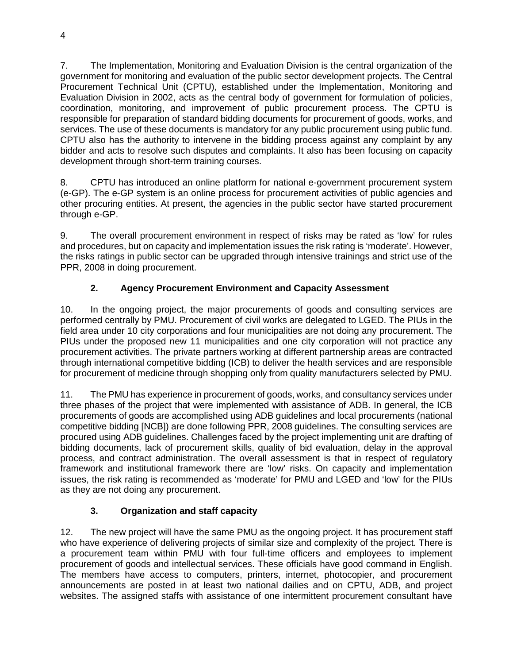7. The Implementation, Monitoring and Evaluation Division is the central organization of the government for monitoring and evaluation of the public sector development projects. The Central Procurement Technical Unit (CPTU), established under the Implementation, Monitoring and Evaluation Division in 2002, acts as the central body of government for formulation of policies, coordination, monitoring, and improvement of public procurement process. The CPTU is responsible for preparation of standard bidding documents for procurement of goods, works, and services. The use of these documents is mandatory for any public procurement using public fund. CPTU also has the authority to intervene in the bidding process against any complaint by any bidder and acts to resolve such disputes and complaints. It also has been focusing on capacity development through short-term training courses.

8. CPTU has introduced an online platform for national e-government procurement system (e-GP). The e-GP system is an online process for procurement activities of public agencies and other procuring entities. At present, the agencies in the public sector have started procurement through e-GP.

9. The overall procurement environment in respect of risks may be rated as 'low' for rules and procedures, but on capacity and implementation issues the risk rating is 'moderate'. However, the risks ratings in public sector can be upgraded through intensive trainings and strict use of the PPR, 2008 in doing procurement.

# **2. Agency Procurement Environment and Capacity Assessment**

10. In the ongoing project, the major procurements of goods and consulting services are performed centrally by PMU. Procurement of civil works are delegated to LGED. The PIUs in the field area under 10 city corporations and four municipalities are not doing any procurement. The PIUs under the proposed new 11 municipalities and one city corporation will not practice any procurement activities. The private partners working at different partnership areas are contracted through international competitive bidding (ICB) to deliver the health services and are responsible for procurement of medicine through shopping only from quality manufacturers selected by PMU.

11. The PMU has experience in procurement of goods, works, and consultancy services under three phases of the project that were implemented with assistance of ADB. In general, the ICB procurements of goods are accomplished using ADB guidelines and local procurements (national competitive bidding [NCB]) are done following PPR, 2008 guidelines. The consulting services are procured using ADB guidelines. Challenges faced by the project implementing unit are drafting of bidding documents, lack of procurement skills, quality of bid evaluation, delay in the approval process, and contract administration. The overall assessment is that in respect of regulatory framework and institutional framework there are 'low' risks. On capacity and implementation issues, the risk rating is recommended as 'moderate' for PMU and LGED and 'low' for the PIUs as they are not doing any procurement.

# **3. Organization and staff capacity**

12. The new project will have the same PMU as the ongoing project. It has procurement staff who have experience of delivering projects of similar size and complexity of the project. There is a procurement team within PMU with four full-time officers and employees to implement procurement of goods and intellectual services. These officials have good command in English. The members have access to computers, printers, internet, photocopier, and procurement announcements are posted in at least two national dailies and on CPTU, ADB, and project websites. The assigned staffs with assistance of one intermittent procurement consultant have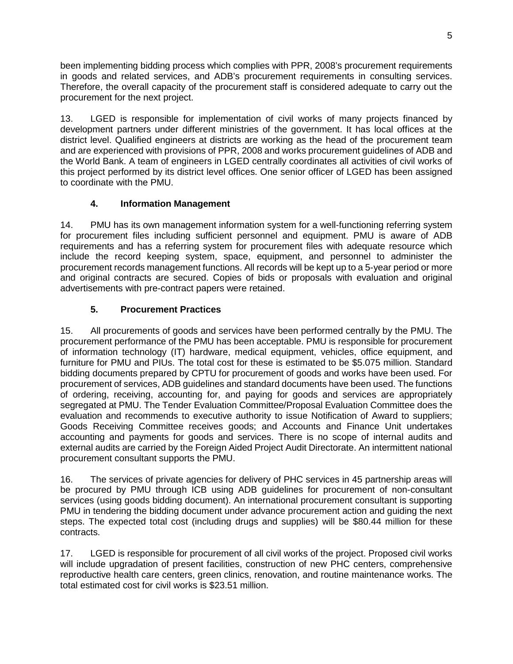been implementing bidding process which complies with PPR, 2008's procurement requirements in goods and related services, and ADB's procurement requirements in consulting services. Therefore, the overall capacity of the procurement staff is considered adequate to carry out the procurement for the next project.

13. LGED is responsible for implementation of civil works of many projects financed by development partners under different ministries of the government. It has local offices at the district level. Qualified engineers at districts are working as the head of the procurement team and are experienced with provisions of PPR, 2008 and works procurement guidelines of ADB and the World Bank. A team of engineers in LGED centrally coordinates all activities of civil works of this project performed by its district level offices. One senior officer of LGED has been assigned to coordinate with the PMU.

# **4. Information Management**

14. PMU has its own management information system for a well-functioning referring system for procurement files including sufficient personnel and equipment. PMU is aware of ADB requirements and has a referring system for procurement files with adequate resource which include the record keeping system, space, equipment, and personnel to administer the procurement records management functions. All records will be kept up to a 5-year period or more and original contracts are secured. Copies of bids or proposals with evaluation and original advertisements with pre-contract papers were retained.

# **5. Procurement Practices**

15. All procurements of goods and services have been performed centrally by the PMU. The procurement performance of the PMU has been acceptable. PMU is responsible for procurement of information technology (IT) hardware, medical equipment, vehicles, office equipment, and furniture for PMU and PIUs. The total cost for these is estimated to be \$5.075 million. Standard bidding documents prepared by CPTU for procurement of goods and works have been used. For procurement of services, ADB guidelines and standard documents have been used. The functions of ordering, receiving, accounting for, and paying for goods and services are appropriately segregated at PMU. The Tender Evaluation Committee/Proposal Evaluation Committee does the evaluation and recommends to executive authority to issue Notification of Award to suppliers; Goods Receiving Committee receives goods; and Accounts and Finance Unit undertakes accounting and payments for goods and services. There is no scope of internal audits and external audits are carried by the Foreign Aided Project Audit Directorate. An intermittent national procurement consultant supports the PMU.

16. The services of private agencies for delivery of PHC services in 45 partnership areas will be procured by PMU through ICB using ADB guidelines for procurement of non-consultant services (using goods bidding document). An international procurement consultant is supporting PMU in tendering the bidding document under advance procurement action and guiding the next steps. The expected total cost (including drugs and supplies) will be \$80.44 million for these contracts.

17. LGED is responsible for procurement of all civil works of the project. Proposed civil works will include upgradation of present facilities, construction of new PHC centers, comprehensive reproductive health care centers, green clinics, renovation, and routine maintenance works. The total estimated cost for civil works is \$23.51 million.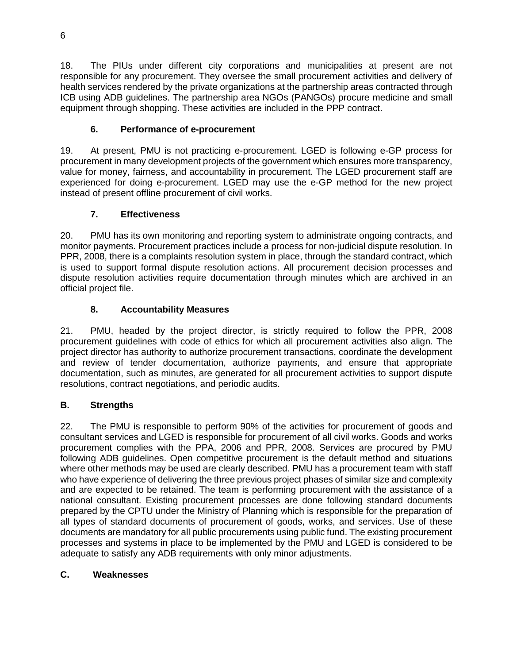18. The PIUs under different city corporations and municipalities at present are not responsible for any procurement. They oversee the small procurement activities and delivery of health services rendered by the private organizations at the partnership areas contracted through ICB using ADB guidelines. The partnership area NGOs (PANGOs) procure medicine and small equipment through shopping. These activities are included in the PPP contract.

# **6. Performance of e-procurement**

19. At present, PMU is not practicing e-procurement. LGED is following e-GP process for procurement in many development projects of the government which ensures more transparency, value for money, fairness, and accountability in procurement. The LGED procurement staff are experienced for doing e-procurement. LGED may use the e-GP method for the new project instead of present offline procurement of civil works.

# **7. Effectiveness**

20. PMU has its own monitoring and reporting system to administrate ongoing contracts, and monitor payments. Procurement practices include a process for non-judicial dispute resolution. In PPR, 2008, there is a complaints resolution system in place, through the standard contract, which is used to support formal dispute resolution actions. All procurement decision processes and dispute resolution activities require documentation through minutes which are archived in an official project file.

# **8. Accountability Measures**

21. PMU, headed by the project director, is strictly required to follow the PPR, 2008 procurement guidelines with code of ethics for which all procurement activities also align. The project director has authority to authorize procurement transactions, coordinate the development and review of tender documentation, authorize payments, and ensure that appropriate documentation, such as minutes, are generated for all procurement activities to support dispute resolutions, contract negotiations, and periodic audits.

# **B. Strengths**

22. The PMU is responsible to perform 90% of the activities for procurement of goods and consultant services and LGED is responsible for procurement of all civil works. Goods and works procurement complies with the PPA, 2006 and PPR, 2008. Services are procured by PMU following ADB guidelines. Open competitive procurement is the default method and situations where other methods may be used are clearly described. PMU has a procurement team with staff who have experience of delivering the three previous project phases of similar size and complexity and are expected to be retained. The team is performing procurement with the assistance of a national consultant. Existing procurement processes are done following standard documents prepared by the CPTU under the Ministry of Planning which is responsible for the preparation of all types of standard documents of procurement of goods, works, and services. Use of these documents are mandatory for all public procurements using public fund. The existing procurement processes and systems in place to be implemented by the PMU and LGED is considered to be adequate to satisfy any ADB requirements with only minor adjustments.

# **C. Weaknesses**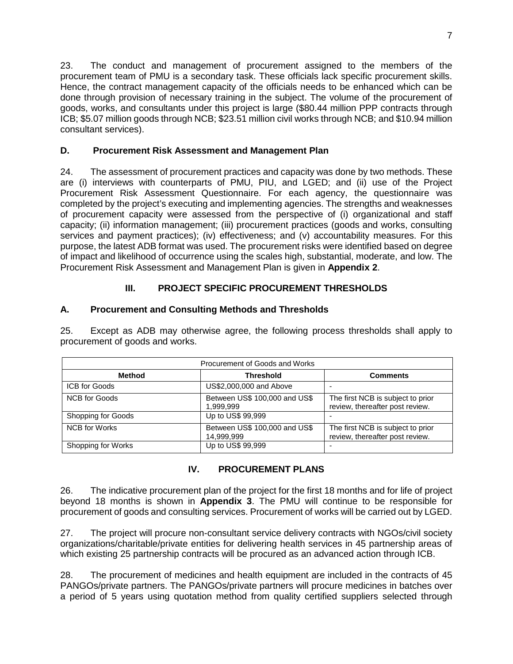23. The conduct and management of procurement assigned to the members of the procurement team of PMU is a secondary task. These officials lack specific procurement skills. Hence, the contract management capacity of the officials needs to be enhanced which can be done through provision of necessary training in the subject. The volume of the procurement of goods, works, and consultants under this project is large (\$80.44 million PPP contracts through ICB; \$5.07 million goods through NCB; \$23.51 million civil works through NCB; and \$10.94 million consultant services).

## **D. Procurement Risk Assessment and Management Plan**

24. The assessment of procurement practices and capacity was done by two methods. These are (i) interviews with counterparts of PMU, PIU, and LGED; and (ii) use of the Project Procurement Risk Assessment Questionnaire. For each agency, the questionnaire was completed by the project's executing and implementing agencies. The strengths and weaknesses of procurement capacity were assessed from the perspective of (i) organizational and staff capacity; (ii) information management; (iii) procurement practices (goods and works, consulting services and payment practices); (iv) effectiveness; and (v) accountability measures. For this purpose, the latest ADB format was used. The procurement risks were identified based on degree of impact and likelihood of occurrence using the scales high, substantial, moderate, and low. The Procurement Risk Assessment and Management Plan is given in **Appendix 2**.

# **III. PROJECT SPECIFIC PROCUREMENT THRESHOLDS**

## **A. Procurement and Consulting Methods and Thresholds**

25. Except as ADB may otherwise agree, the following process thresholds shall apply to procurement of goods and works.

| Procurement of Goods and Works |                                             |                                                                      |  |
|--------------------------------|---------------------------------------------|----------------------------------------------------------------------|--|
| <b>Method</b>                  | <b>Threshold</b>                            | <b>Comments</b>                                                      |  |
| <b>ICB for Goods</b>           | US\$2,000,000 and Above                     |                                                                      |  |
| <b>NCB for Goods</b>           | Between US\$ 100,000 and US\$<br>1,999,999  | The first NCB is subject to prior<br>review, thereafter post review. |  |
| Shopping for Goods             | Up to US\$ 99,999                           |                                                                      |  |
| <b>NCB</b> for Works           | Between US\$ 100,000 and US\$<br>14,999,999 | The first NCB is subject to prior<br>review, thereafter post review. |  |
| Shopping for Works             | Up to US\$ 99,999                           |                                                                      |  |

## **IV. PROCUREMENT PLANS**

26. The indicative procurement plan of the project for the first 18 months and for life of project beyond 18 months is shown in **Appendix 3**. The PMU will continue to be responsible for procurement of goods and consulting services. Procurement of works will be carried out by LGED.

27. The project will procure non-consultant service delivery contracts with NGOs/civil society organizations/charitable/private entities for delivering health services in 45 partnership areas of which existing 25 partnership contracts will be procured as an advanced action through ICB.

28. The procurement of medicines and health equipment are included in the contracts of 45 PANGOs/private partners. The PANGOs/private partners will procure medicines in batches over a period of 5 years using quotation method from quality certified suppliers selected through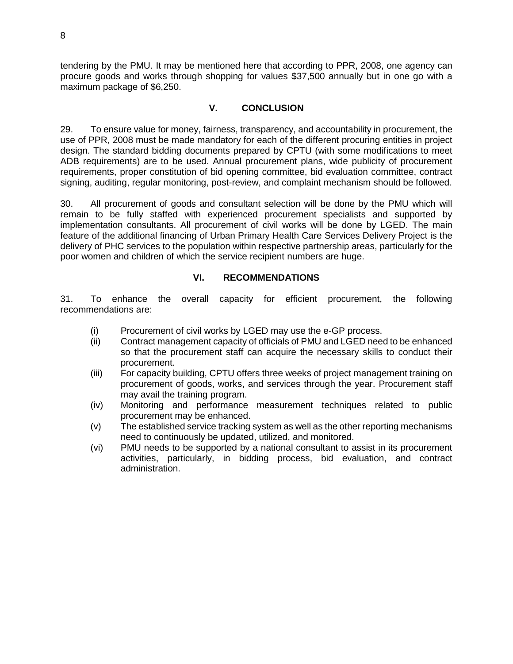tendering by the PMU. It may be mentioned here that according to PPR, 2008, one agency can procure goods and works through shopping for values \$37,500 annually but in one go with a maximum package of \$6,250.

## **V. CONCLUSION**

29. To ensure value for money, fairness, transparency, and accountability in procurement, the use of PPR, 2008 must be made mandatory for each of the different procuring entities in project design. The standard bidding documents prepared by CPTU (with some modifications to meet ADB requirements) are to be used. Annual procurement plans, wide publicity of procurement requirements, proper constitution of bid opening committee, bid evaluation committee, contract signing, auditing, regular monitoring, post-review, and complaint mechanism should be followed.

30. All procurement of goods and consultant selection will be done by the PMU which will remain to be fully staffed with experienced procurement specialists and supported by implementation consultants. All procurement of civil works will be done by LGED. The main feature of the additional financing of Urban Primary Health Care Services Delivery Project is the delivery of PHC services to the population within respective partnership areas, particularly for the poor women and children of which the service recipient numbers are huge.

## **VI. RECOMMENDATIONS**

31. To enhance the overall capacity for efficient procurement, the following recommendations are:

- (i) Procurement of civil works by LGED may use the e-GP process.
- (ii) Contract management capacity of officials of PMU and LGED need to be enhanced so that the procurement staff can acquire the necessary skills to conduct their procurement.
- (iii) For capacity building, CPTU offers three weeks of project management training on procurement of goods, works, and services through the year. Procurement staff may avail the training program.
- (iv) Monitoring and performance measurement techniques related to public procurement may be enhanced.
- (v) The established service tracking system as well as the other reporting mechanisms need to continuously be updated, utilized, and monitored.
- (vi) PMU needs to be supported by a national consultant to assist in its procurement activities, particularly, in bidding process, bid evaluation, and contract administration.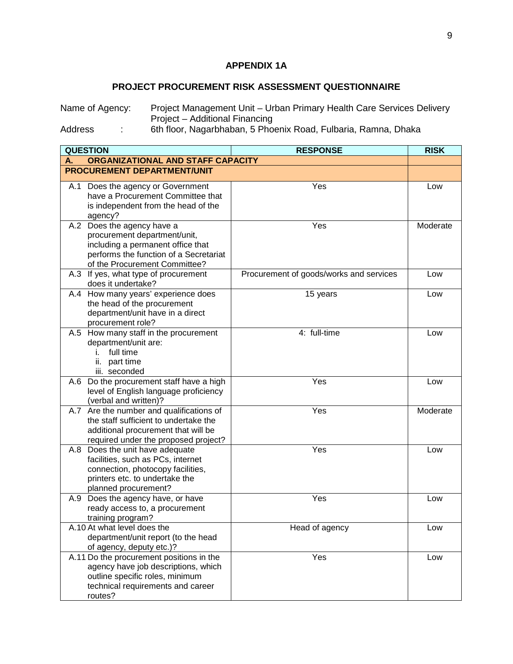# **APPENDIX 1A**

# **PROJECT PROCUREMENT RISK ASSESSMENT QUESTIONNAIRE**

| Name of Agency:                          | Project Management Unit – Urban Primary Health Care Services Delivery |
|------------------------------------------|-----------------------------------------------------------------------|
|                                          | Project – Additional Financing                                        |
| $\mathbf{A}$ . The state of $\mathbf{A}$ |                                                                       |

Address : 6th floor, Nagarbhaban, 5 Phoenix Road, Fulbaria, Ramna, Dhaka

| <b>QUESTION</b>                                                                                                                                                            | <b>RESPONSE</b>                         | <b>RISK</b> |
|----------------------------------------------------------------------------------------------------------------------------------------------------------------------------|-----------------------------------------|-------------|
| ORGANIZATIONAL AND STAFF CAPACITY<br>А.                                                                                                                                    |                                         |             |
| PROCUREMENT DEPARTMENT/UNIT                                                                                                                                                |                                         |             |
| A.1 Does the agency or Government<br>have a Procurement Committee that<br>is independent from the head of the<br>agency?                                                   | Yes                                     | Low         |
| A.2 Does the agency have a<br>procurement department/unit,<br>including a permanent office that<br>performs the function of a Secretariat<br>of the Procurement Committee? | Yes                                     | Moderate    |
| A.3 If yes, what type of procurement<br>does it undertake?                                                                                                                 | Procurement of goods/works and services | Low         |
| A.4 How many years' experience does<br>the head of the procurement<br>department/unit have in a direct<br>procurement role?                                                | 15 years                                | Low         |
| A.5 How many staff in the procurement<br>department/unit are:<br>full time<br>Ĺ.<br>part time<br>ii.<br>iii. seconded                                                      | 4: full-time                            | Low         |
| A.6 Do the procurement staff have a high<br>level of English language proficiency<br>(verbal and written)?                                                                 | Yes                                     | Low         |
| A.7 Are the number and qualifications of<br>the staff sufficient to undertake the<br>additional procurement that will be<br>required under the proposed project?           | Yes                                     | Moderate    |
| A.8 Does the unit have adequate<br>facilities, such as PCs, internet<br>connection, photocopy facilities,<br>printers etc. to undertake the<br>planned procurement?        | Yes                                     | Low         |
| Does the agency have, or have<br>A.9<br>ready access to, a procurement<br>training program?                                                                                | Yes                                     | Low         |
| A.10 At what level does the<br>department/unit report (to the head<br>of agency, deputy etc.)?                                                                             | Head of agency                          | Low         |
| A.11 Do the procurement positions in the<br>agency have job descriptions, which<br>outline specific roles, minimum<br>technical requirements and career<br>routes?         | Yes                                     | Low         |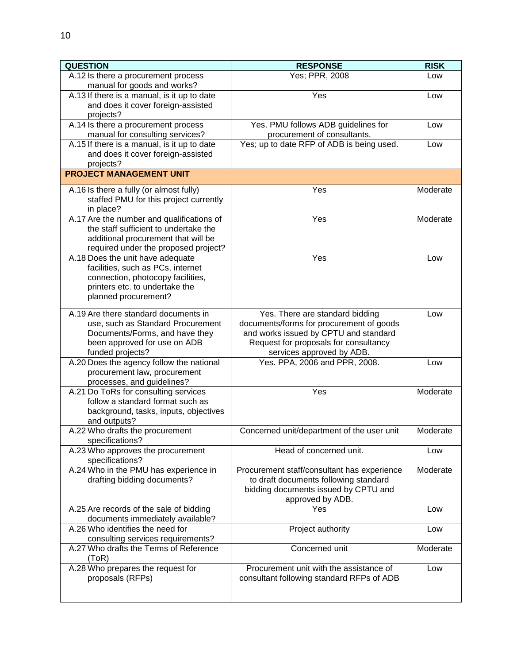| <b>QUESTION</b>                                                                                                                                                      | <b>RESPONSE</b>                                                                                                                                                                            | <b>RISK</b> |
|----------------------------------------------------------------------------------------------------------------------------------------------------------------------|--------------------------------------------------------------------------------------------------------------------------------------------------------------------------------------------|-------------|
| A.12 Is there a procurement process<br>manual for goods and works?                                                                                                   | Yes; PPR, 2008                                                                                                                                                                             | Low         |
| A.13 If there is a manual, is it up to date<br>and does it cover foreign-assisted<br>projects?                                                                       | Yes                                                                                                                                                                                        | Low         |
| A.14 Is there a procurement process<br>manual for consulting services?                                                                                               | Yes. PMU follows ADB guidelines for<br>procurement of consultants.                                                                                                                         | Low         |
| A.15 If there is a manual, is it up to date<br>and does it cover foreign-assisted<br>projects?                                                                       | Yes; up to date RFP of ADB is being used.                                                                                                                                                  | Low         |
| <b>PROJECT MANAGEMENT UNIT</b>                                                                                                                                       |                                                                                                                                                                                            |             |
| A.16 Is there a fully (or almost fully)<br>staffed PMU for this project currently<br>in place?                                                                       | Yes                                                                                                                                                                                        | Moderate    |
| A.17 Are the number and qualifications of<br>the staff sufficient to undertake the<br>additional procurement that will be<br>required under the proposed project?    | Yes                                                                                                                                                                                        | Moderate    |
| A.18 Does the unit have adequate<br>facilities, such as PCs, internet<br>connection, photocopy facilities,<br>printers etc. to undertake the<br>planned procurement? | Yes                                                                                                                                                                                        | Low         |
| A.19 Are there standard documents in<br>use, such as Standard Procurement<br>Documents/Forms, and have they<br>been approved for use on ADB<br>funded projects?      | Yes. There are standard bidding<br>documents/forms for procurement of goods<br>and works issued by CPTU and standard<br>Request for proposals for consultancy<br>services approved by ADB. | Low         |
| A.20 Does the agency follow the national<br>procurement law, procurement<br>processes, and guidelines?                                                               | Yes. PPA, 2006 and PPR, 2008.                                                                                                                                                              | Low         |
| A.21 Do ToRs for consulting services<br>follow a standard format such as<br>background, tasks, inputs, objectives<br>and outputs?                                    | Yes                                                                                                                                                                                        | Moderate    |
| A.22 Who drafts the procurement<br>specifications?                                                                                                                   | Concerned unit/department of the user unit                                                                                                                                                 | Moderate    |
| A.23 Who approves the procurement<br>specifications?                                                                                                                 | Head of concerned unit.                                                                                                                                                                    | Low         |
| A.24 Who in the PMU has experience in<br>drafting bidding documents?                                                                                                 | Procurement staff/consultant has experience<br>to draft documents following standard<br>bidding documents issued by CPTU and<br>approved by ADB.                                           | Moderate    |
| A.25 Are records of the sale of bidding<br>documents immediately available?                                                                                          | Yes                                                                                                                                                                                        | Low         |
| A.26 Who identifies the need for<br>consulting services requirements?                                                                                                | Project authority                                                                                                                                                                          | Low         |
| A.27 Who drafts the Terms of Reference<br>(ToR)                                                                                                                      | Concerned unit                                                                                                                                                                             | Moderate    |
| A.28 Who prepares the request for<br>proposals (RFPs)                                                                                                                | Procurement unit with the assistance of<br>consultant following standard RFPs of ADB                                                                                                       | Low         |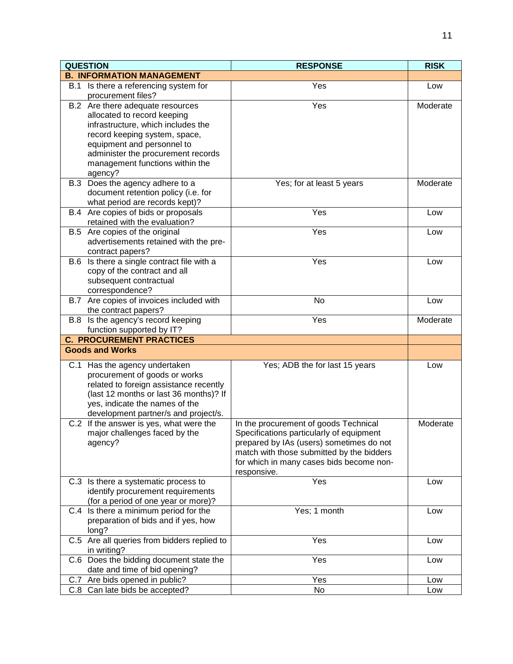| <b>QUESTION</b>                                                            | <b>RESPONSE</b>                           | <b>RISK</b> |
|----------------------------------------------------------------------------|-------------------------------------------|-------------|
| <b>B. INFORMATION MANAGEMENT</b>                                           |                                           |             |
| B.1 Is there a referencing system for<br>procurement files?                | Yes                                       | Low         |
| B.2 Are there adequate resources                                           | Yes                                       | Moderate    |
| allocated to record keeping                                                |                                           |             |
| infrastructure, which includes the                                         |                                           |             |
| record keeping system, space,                                              |                                           |             |
| equipment and personnel to                                                 |                                           |             |
| administer the procurement records<br>management functions within the      |                                           |             |
| agency?                                                                    |                                           |             |
| B.3 Does the agency adhere to a                                            | Yes; for at least 5 years                 | Moderate    |
| document retention policy (i.e. for                                        |                                           |             |
| what period are records kept)?                                             |                                           |             |
| B.4 Are copies of bids or proposals                                        | Yes                                       | Low         |
| retained with the evaluation?                                              |                                           |             |
| B.5 Are copies of the original                                             | Yes                                       | Low         |
| advertisements retained with the pre-                                      |                                           |             |
| contract papers?                                                           | Yes                                       |             |
| B.6 Is there a single contract file with a<br>copy of the contract and all |                                           | Low         |
| subsequent contractual                                                     |                                           |             |
| correspondence?                                                            |                                           |             |
| B.7 Are copies of invoices included with                                   | No                                        | Low         |
| the contract papers?                                                       |                                           |             |
| B.8 Is the agency's record keeping                                         | Yes                                       | Moderate    |
| function supported by IT?                                                  |                                           |             |
| <b>C. PROCUREMENT PRACTICES</b>                                            |                                           |             |
| <b>Goods and Works</b>                                                     |                                           |             |
| C.1 Has the agency undertaken                                              | Yes; ADB the for last 15 years            | Low         |
| procurement of goods or works                                              |                                           |             |
| related to foreign assistance recently                                     |                                           |             |
| (last 12 months or last 36 months)? If<br>yes, indicate the names of the   |                                           |             |
| development partner/s and project/s.                                       |                                           |             |
| C.2 If the answer is yes, what were the                                    | In the procurement of goods Technical     | Moderate    |
| major challenges faced by the                                              | Specifications particularly of equipment  |             |
| agency?                                                                    | prepared by IAs (users) sometimes do not  |             |
|                                                                            | match with those submitted by the bidders |             |
|                                                                            | for which in many cases bids become non-  |             |
|                                                                            | responsive.                               |             |
| C.3 Is there a systematic process to<br>identify procurement requirements  | Yes                                       | Low         |
| (for a period of one year or more)?                                        |                                           |             |
| C.4 Is there a minimum period for the                                      | Yes; 1 month                              | Low         |
| preparation of bids and if yes, how                                        |                                           |             |
| long?                                                                      |                                           |             |
| C.5 Are all queries from bidders replied to<br>in writing?                 | Yes                                       | Low         |
| C.6 Does the bidding document state the                                    | Yes                                       | Low         |
| date and time of bid opening?                                              |                                           |             |
| C.7 Are bids opened in public?                                             | Yes                                       | Low         |
| C.8 Can late bids be accepted?                                             | No                                        | Low         |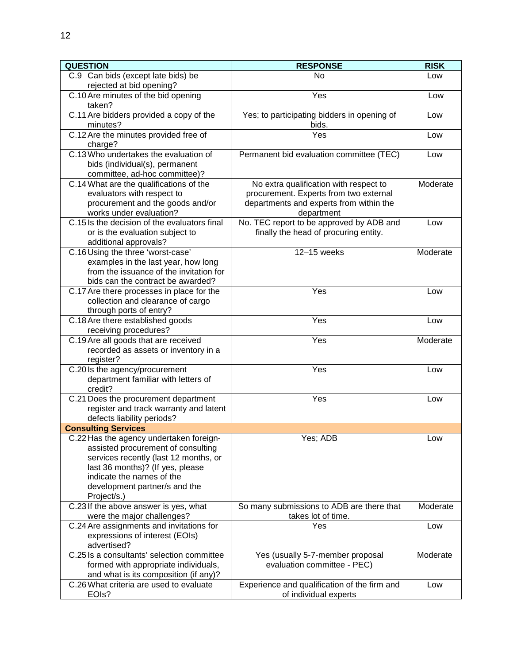| <b>QUESTION</b>                                                                                                                                                                                                                         | <b>RESPONSE</b>                                                                                                                           | <b>RISK</b> |
|-----------------------------------------------------------------------------------------------------------------------------------------------------------------------------------------------------------------------------------------|-------------------------------------------------------------------------------------------------------------------------------------------|-------------|
| C.9 Can bids (except late bids) be<br>rejected at bid opening?                                                                                                                                                                          | N <sub>o</sub>                                                                                                                            | Low         |
| C.10 Are minutes of the bid opening<br>taken?                                                                                                                                                                                           | Yes                                                                                                                                       | Low         |
| C.11 Are bidders provided a copy of the<br>minutes?                                                                                                                                                                                     | Yes; to participating bidders in opening of<br>bids.                                                                                      | Low         |
| C.12 Are the minutes provided free of<br>charge?                                                                                                                                                                                        | Yes                                                                                                                                       | Low         |
| C.13 Who undertakes the evaluation of<br>bids (individual(s), permanent<br>committee, ad-hoc committee)?                                                                                                                                | Permanent bid evaluation committee (TEC)                                                                                                  | Low         |
| C.14 What are the qualifications of the<br>evaluators with respect to<br>procurement and the goods and/or<br>works under evaluation?                                                                                                    | No extra qualification with respect to<br>procurement. Experts from two external<br>departments and experts from within the<br>department | Moderate    |
| C.15 Is the decision of the evaluators final<br>or is the evaluation subject to<br>additional approvals?                                                                                                                                | No. TEC report to be approved by ADB and<br>finally the head of procuring entity.                                                         | Low         |
| C.16 Using the three 'worst-case'<br>examples in the last year, how long<br>from the issuance of the invitation for<br>bids can the contract be awarded?                                                                                | 12-15 weeks                                                                                                                               | Moderate    |
| C.17 Are there processes in place for the<br>collection and clearance of cargo<br>through ports of entry?                                                                                                                               | Yes                                                                                                                                       | Low         |
| C.18 Are there established goods<br>receiving procedures?                                                                                                                                                                               | Yes                                                                                                                                       | Low         |
| C.19 Are all goods that are received<br>recorded as assets or inventory in a<br>register?                                                                                                                                               | Yes                                                                                                                                       | Moderate    |
| C.20 Is the agency/procurement<br>department familiar with letters of<br>credit?                                                                                                                                                        | Yes                                                                                                                                       | Low         |
| C.21 Does the procurement department<br>register and track warranty and latent<br>defects liability periods?                                                                                                                            | Yes                                                                                                                                       | Low         |
| <b>Consulting Services</b>                                                                                                                                                                                                              |                                                                                                                                           |             |
| C.22 Has the agency undertaken foreign-<br>assisted procurement of consulting<br>services recently (last 12 months, or<br>last 36 months)? (If yes, please<br>indicate the names of the<br>development partner/s and the<br>Project/s.) | Yes; ADB                                                                                                                                  | Low         |
| C.23 If the above answer is yes, what<br>were the major challenges?                                                                                                                                                                     | So many submissions to ADB are there that<br>takes lot of time.                                                                           | Moderate    |
| C.24 Are assignments and invitations for<br>expressions of interest (EOIs)<br>advertised?                                                                                                                                               | Yes                                                                                                                                       | Low         |
| C.25 Is a consultants' selection committee<br>formed with appropriate individuals,<br>and what is its composition (if any)?                                                                                                             | Yes (usually 5-7-member proposal<br>evaluation committee - PEC)                                                                           | Moderate    |
| C.26 What criteria are used to evaluate<br>EOIs?                                                                                                                                                                                        | Experience and qualification of the firm and<br>of individual experts                                                                     | Low         |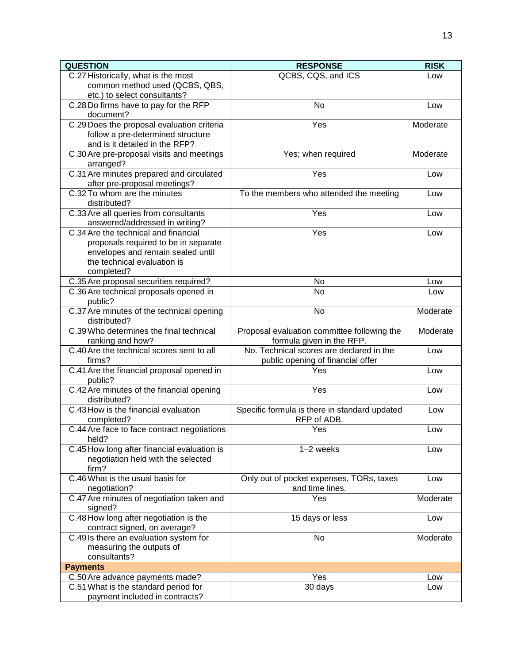| <b>QUESTION</b>                                              | <b>RESPONSE</b>                               | <b>RISK</b> |
|--------------------------------------------------------------|-----------------------------------------------|-------------|
| C.27 Historically, what is the most                          | QCBS, CQS, and ICS                            | Low         |
| common method used (QCBS, QBS,                               |                                               |             |
| etc.) to select consultants?                                 |                                               |             |
| C.28 Do firms have to pay for the RFP                        | <b>No</b>                                     | Low         |
| document?                                                    |                                               |             |
| C.29 Does the proposal evaluation criteria                   | Yes                                           | Moderate    |
| follow a pre-determined structure                            |                                               |             |
| and is it detailed in the RFP?                               |                                               |             |
| C.30 Are pre-proposal visits and meetings                    | Yes; when required                            | Moderate    |
| arranged?                                                    | Yes                                           |             |
| C.31 Are minutes prepared and circulated                     |                                               | Low         |
| after pre-proposal meetings?<br>C.32 To whom are the minutes |                                               |             |
|                                                              | To the members who attended the meeting       | Low         |
| distributed?<br>C.33 Are all queries from consultants        | Yes                                           |             |
| answered/addressed in writing?                               |                                               | Low         |
| C.34 Are the technical and financial                         | Yes                                           | Low         |
| proposals required to be in separate                         |                                               |             |
| envelopes and remain sealed until                            |                                               |             |
| the technical evaluation is                                  |                                               |             |
| completed?                                                   |                                               |             |
| C.35 Are proposal securities required?                       | No                                            | Low         |
| C.36 Are technical proposals opened in                       | <b>No</b>                                     | Low         |
| public?                                                      |                                               |             |
| C.37 Are minutes of the technical opening                    | No                                            | Moderate    |
| distributed?                                                 |                                               |             |
| C.39 Who determines the final technical                      | Proposal evaluation committee following the   | Moderate    |
| ranking and how?                                             | formula given in the RFP.                     |             |
| C.40 Are the technical scores sent to all                    | No. Technical scores are declared in the      | Low         |
| firms?                                                       | public opening of financial offer             |             |
| C.41 Are the financial proposal opened in                    | Yes                                           | Low         |
| public?                                                      |                                               |             |
| C.42 Are minutes of the financial opening                    | Yes                                           | Low         |
| distributed?                                                 |                                               |             |
| C.43 How is the financial evaluation                         | Specific formula is there in standard updated | Low         |
| completed?                                                   | RFP of ADB.                                   |             |
| C.44 Are face to face contract negotiations                  | Yes                                           | Low         |
| held?                                                        | $1-2$ weeks                                   |             |
| C.45 How long after financial evaluation is                  |                                               | Low         |
| negotiation held with the selected<br>firm?                  |                                               |             |
| C.46 What is the usual basis for                             | Only out of pocket expenses, TORs, taxes      | Low         |
| negotiation?                                                 | and time lines.                               |             |
| C.47 Are minutes of negotiation taken and                    | Yes                                           | Moderate    |
| signed?                                                      |                                               |             |
| C.48 How long after negotiation is the                       | 15 days or less                               | Low         |
| contract signed, on average?                                 |                                               |             |
| C.49 Is there an evaluation system for                       | No                                            | Moderate    |
| measuring the outputs of                                     |                                               |             |
| consultants?                                                 |                                               |             |
| <b>Payments</b>                                              |                                               |             |
| C.50 Are advance payments made?                              | Yes                                           | Low         |
| C.51 What is the standard period for                         | 30 days                                       | Low         |
| payment included in contracts?                               |                                               |             |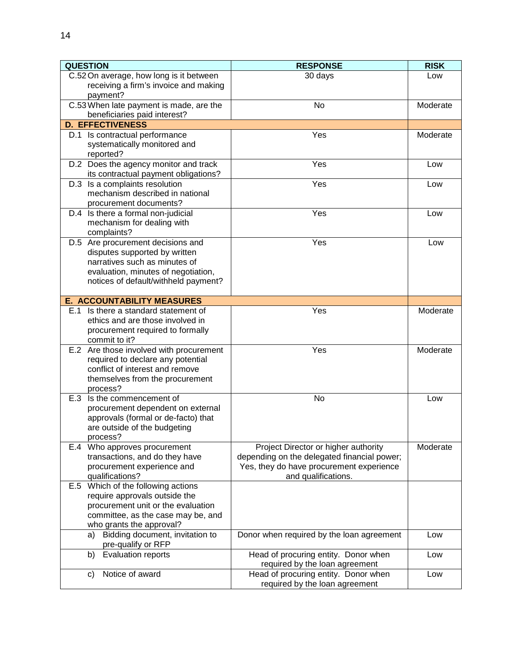| C.52 On average, how long is it between<br>30 days<br>Low<br>receiving a firm's invoice and making<br>payment?<br>C.53 When late payment is made, are the<br>No<br>Moderate<br>beneficiaries paid interest?<br><b>D. EFFECTIVENESS</b><br>Yes<br>Moderate<br>D.1 Is contractual performance<br>systematically monitored and<br>reported?<br>D.2 Does the agency monitor and track<br>Yes<br>Low<br>its contractual payment obligations?<br>D.3 Is a complaints resolution<br>Yes<br>Low<br>mechanism described in national<br>procurement documents?<br>D.4 Is there a formal non-judicial<br>Yes<br>Low<br>mechanism for dealing with<br>complaints?<br>Yes<br>D.5 Are procurement decisions and<br>Low<br>disputes supported by written<br>narratives such as minutes of<br>evaluation, minutes of negotiation,<br>notices of default/withheld payment?<br><b>E. ACCOUNTABILITY MEASURES</b><br>Yes<br>E.1 Is there a standard statement of<br>Moderate<br>ethics and are those involved in<br>procurement required to formally<br>commit to it?<br>E.2 Are those involved with procurement<br>Yes<br>Moderate<br>required to declare any potential<br>conflict of interest and remove<br>themselves from the procurement<br>process?<br>E.3 Is the commencement of<br>No<br>Low<br>procurement dependent on external<br>approvals (formal or de-facto) that<br>are outside of the budgeting<br>process?<br>E.4 Who approves procurement<br>Project Director or higher authority<br>Moderate<br>transactions, and do they have<br>depending on the delegated financial power;<br>Yes, they do have procurement experience<br>procurement experience and<br>qualifications?<br>and qualifications.<br>E.5 Which of the following actions<br>require approvals outside the<br>procurement unit or the evaluation<br>committee, as the case may be, and<br>who grants the approval?<br>Bidding document, invitation to<br>Donor when required by the loan agreement<br>a)<br>Low<br>pre-qualify or RFP<br><b>Evaluation reports</b><br>Head of procuring entity. Donor when<br>b)<br>Low | <b>QUESTION</b> | <b>RESPONSE</b> | <b>RISK</b> |
|-----------------------------------------------------------------------------------------------------------------------------------------------------------------------------------------------------------------------------------------------------------------------------------------------------------------------------------------------------------------------------------------------------------------------------------------------------------------------------------------------------------------------------------------------------------------------------------------------------------------------------------------------------------------------------------------------------------------------------------------------------------------------------------------------------------------------------------------------------------------------------------------------------------------------------------------------------------------------------------------------------------------------------------------------------------------------------------------------------------------------------------------------------------------------------------------------------------------------------------------------------------------------------------------------------------------------------------------------------------------------------------------------------------------------------------------------------------------------------------------------------------------------------------------------------------------------------------------------------------------------------------------------------------------------------------------------------------------------------------------------------------------------------------------------------------------------------------------------------------------------------------------------------------------------------------------------------------------------------------------------------------------------------------------------------------------------------------------|-----------------|-----------------|-------------|
|                                                                                                                                                                                                                                                                                                                                                                                                                                                                                                                                                                                                                                                                                                                                                                                                                                                                                                                                                                                                                                                                                                                                                                                                                                                                                                                                                                                                                                                                                                                                                                                                                                                                                                                                                                                                                                                                                                                                                                                                                                                                                         |                 |                 |             |
|                                                                                                                                                                                                                                                                                                                                                                                                                                                                                                                                                                                                                                                                                                                                                                                                                                                                                                                                                                                                                                                                                                                                                                                                                                                                                                                                                                                                                                                                                                                                                                                                                                                                                                                                                                                                                                                                                                                                                                                                                                                                                         |                 |                 |             |
|                                                                                                                                                                                                                                                                                                                                                                                                                                                                                                                                                                                                                                                                                                                                                                                                                                                                                                                                                                                                                                                                                                                                                                                                                                                                                                                                                                                                                                                                                                                                                                                                                                                                                                                                                                                                                                                                                                                                                                                                                                                                                         |                 |                 |             |
|                                                                                                                                                                                                                                                                                                                                                                                                                                                                                                                                                                                                                                                                                                                                                                                                                                                                                                                                                                                                                                                                                                                                                                                                                                                                                                                                                                                                                                                                                                                                                                                                                                                                                                                                                                                                                                                                                                                                                                                                                                                                                         |                 |                 |             |
|                                                                                                                                                                                                                                                                                                                                                                                                                                                                                                                                                                                                                                                                                                                                                                                                                                                                                                                                                                                                                                                                                                                                                                                                                                                                                                                                                                                                                                                                                                                                                                                                                                                                                                                                                                                                                                                                                                                                                                                                                                                                                         |                 |                 |             |
|                                                                                                                                                                                                                                                                                                                                                                                                                                                                                                                                                                                                                                                                                                                                                                                                                                                                                                                                                                                                                                                                                                                                                                                                                                                                                                                                                                                                                                                                                                                                                                                                                                                                                                                                                                                                                                                                                                                                                                                                                                                                                         |                 |                 |             |
|                                                                                                                                                                                                                                                                                                                                                                                                                                                                                                                                                                                                                                                                                                                                                                                                                                                                                                                                                                                                                                                                                                                                                                                                                                                                                                                                                                                                                                                                                                                                                                                                                                                                                                                                                                                                                                                                                                                                                                                                                                                                                         |                 |                 |             |
|                                                                                                                                                                                                                                                                                                                                                                                                                                                                                                                                                                                                                                                                                                                                                                                                                                                                                                                                                                                                                                                                                                                                                                                                                                                                                                                                                                                                                                                                                                                                                                                                                                                                                                                                                                                                                                                                                                                                                                                                                                                                                         |                 |                 |             |
|                                                                                                                                                                                                                                                                                                                                                                                                                                                                                                                                                                                                                                                                                                                                                                                                                                                                                                                                                                                                                                                                                                                                                                                                                                                                                                                                                                                                                                                                                                                                                                                                                                                                                                                                                                                                                                                                                                                                                                                                                                                                                         |                 |                 |             |
|                                                                                                                                                                                                                                                                                                                                                                                                                                                                                                                                                                                                                                                                                                                                                                                                                                                                                                                                                                                                                                                                                                                                                                                                                                                                                                                                                                                                                                                                                                                                                                                                                                                                                                                                                                                                                                                                                                                                                                                                                                                                                         |                 |                 |             |
|                                                                                                                                                                                                                                                                                                                                                                                                                                                                                                                                                                                                                                                                                                                                                                                                                                                                                                                                                                                                                                                                                                                                                                                                                                                                                                                                                                                                                                                                                                                                                                                                                                                                                                                                                                                                                                                                                                                                                                                                                                                                                         |                 |                 |             |
|                                                                                                                                                                                                                                                                                                                                                                                                                                                                                                                                                                                                                                                                                                                                                                                                                                                                                                                                                                                                                                                                                                                                                                                                                                                                                                                                                                                                                                                                                                                                                                                                                                                                                                                                                                                                                                                                                                                                                                                                                                                                                         |                 |                 |             |
|                                                                                                                                                                                                                                                                                                                                                                                                                                                                                                                                                                                                                                                                                                                                                                                                                                                                                                                                                                                                                                                                                                                                                                                                                                                                                                                                                                                                                                                                                                                                                                                                                                                                                                                                                                                                                                                                                                                                                                                                                                                                                         |                 |                 |             |
|                                                                                                                                                                                                                                                                                                                                                                                                                                                                                                                                                                                                                                                                                                                                                                                                                                                                                                                                                                                                                                                                                                                                                                                                                                                                                                                                                                                                                                                                                                                                                                                                                                                                                                                                                                                                                                                                                                                                                                                                                                                                                         |                 |                 |             |
|                                                                                                                                                                                                                                                                                                                                                                                                                                                                                                                                                                                                                                                                                                                                                                                                                                                                                                                                                                                                                                                                                                                                                                                                                                                                                                                                                                                                                                                                                                                                                                                                                                                                                                                                                                                                                                                                                                                                                                                                                                                                                         |                 |                 |             |
|                                                                                                                                                                                                                                                                                                                                                                                                                                                                                                                                                                                                                                                                                                                                                                                                                                                                                                                                                                                                                                                                                                                                                                                                                                                                                                                                                                                                                                                                                                                                                                                                                                                                                                                                                                                                                                                                                                                                                                                                                                                                                         |                 |                 |             |
|                                                                                                                                                                                                                                                                                                                                                                                                                                                                                                                                                                                                                                                                                                                                                                                                                                                                                                                                                                                                                                                                                                                                                                                                                                                                                                                                                                                                                                                                                                                                                                                                                                                                                                                                                                                                                                                                                                                                                                                                                                                                                         |                 |                 |             |
|                                                                                                                                                                                                                                                                                                                                                                                                                                                                                                                                                                                                                                                                                                                                                                                                                                                                                                                                                                                                                                                                                                                                                                                                                                                                                                                                                                                                                                                                                                                                                                                                                                                                                                                                                                                                                                                                                                                                                                                                                                                                                         |                 |                 |             |
|                                                                                                                                                                                                                                                                                                                                                                                                                                                                                                                                                                                                                                                                                                                                                                                                                                                                                                                                                                                                                                                                                                                                                                                                                                                                                                                                                                                                                                                                                                                                                                                                                                                                                                                                                                                                                                                                                                                                                                                                                                                                                         |                 |                 |             |
|                                                                                                                                                                                                                                                                                                                                                                                                                                                                                                                                                                                                                                                                                                                                                                                                                                                                                                                                                                                                                                                                                                                                                                                                                                                                                                                                                                                                                                                                                                                                                                                                                                                                                                                                                                                                                                                                                                                                                                                                                                                                                         |                 |                 |             |
|                                                                                                                                                                                                                                                                                                                                                                                                                                                                                                                                                                                                                                                                                                                                                                                                                                                                                                                                                                                                                                                                                                                                                                                                                                                                                                                                                                                                                                                                                                                                                                                                                                                                                                                                                                                                                                                                                                                                                                                                                                                                                         |                 |                 |             |
|                                                                                                                                                                                                                                                                                                                                                                                                                                                                                                                                                                                                                                                                                                                                                                                                                                                                                                                                                                                                                                                                                                                                                                                                                                                                                                                                                                                                                                                                                                                                                                                                                                                                                                                                                                                                                                                                                                                                                                                                                                                                                         |                 |                 |             |
|                                                                                                                                                                                                                                                                                                                                                                                                                                                                                                                                                                                                                                                                                                                                                                                                                                                                                                                                                                                                                                                                                                                                                                                                                                                                                                                                                                                                                                                                                                                                                                                                                                                                                                                                                                                                                                                                                                                                                                                                                                                                                         |                 |                 |             |
|                                                                                                                                                                                                                                                                                                                                                                                                                                                                                                                                                                                                                                                                                                                                                                                                                                                                                                                                                                                                                                                                                                                                                                                                                                                                                                                                                                                                                                                                                                                                                                                                                                                                                                                                                                                                                                                                                                                                                                                                                                                                                         |                 |                 |             |
|                                                                                                                                                                                                                                                                                                                                                                                                                                                                                                                                                                                                                                                                                                                                                                                                                                                                                                                                                                                                                                                                                                                                                                                                                                                                                                                                                                                                                                                                                                                                                                                                                                                                                                                                                                                                                                                                                                                                                                                                                                                                                         |                 |                 |             |
|                                                                                                                                                                                                                                                                                                                                                                                                                                                                                                                                                                                                                                                                                                                                                                                                                                                                                                                                                                                                                                                                                                                                                                                                                                                                                                                                                                                                                                                                                                                                                                                                                                                                                                                                                                                                                                                                                                                                                                                                                                                                                         |                 |                 |             |
|                                                                                                                                                                                                                                                                                                                                                                                                                                                                                                                                                                                                                                                                                                                                                                                                                                                                                                                                                                                                                                                                                                                                                                                                                                                                                                                                                                                                                                                                                                                                                                                                                                                                                                                                                                                                                                                                                                                                                                                                                                                                                         |                 |                 |             |
|                                                                                                                                                                                                                                                                                                                                                                                                                                                                                                                                                                                                                                                                                                                                                                                                                                                                                                                                                                                                                                                                                                                                                                                                                                                                                                                                                                                                                                                                                                                                                                                                                                                                                                                                                                                                                                                                                                                                                                                                                                                                                         |                 |                 |             |
|                                                                                                                                                                                                                                                                                                                                                                                                                                                                                                                                                                                                                                                                                                                                                                                                                                                                                                                                                                                                                                                                                                                                                                                                                                                                                                                                                                                                                                                                                                                                                                                                                                                                                                                                                                                                                                                                                                                                                                                                                                                                                         |                 |                 |             |
|                                                                                                                                                                                                                                                                                                                                                                                                                                                                                                                                                                                                                                                                                                                                                                                                                                                                                                                                                                                                                                                                                                                                                                                                                                                                                                                                                                                                                                                                                                                                                                                                                                                                                                                                                                                                                                                                                                                                                                                                                                                                                         |                 |                 |             |
|                                                                                                                                                                                                                                                                                                                                                                                                                                                                                                                                                                                                                                                                                                                                                                                                                                                                                                                                                                                                                                                                                                                                                                                                                                                                                                                                                                                                                                                                                                                                                                                                                                                                                                                                                                                                                                                                                                                                                                                                                                                                                         |                 |                 |             |
|                                                                                                                                                                                                                                                                                                                                                                                                                                                                                                                                                                                                                                                                                                                                                                                                                                                                                                                                                                                                                                                                                                                                                                                                                                                                                                                                                                                                                                                                                                                                                                                                                                                                                                                                                                                                                                                                                                                                                                                                                                                                                         |                 |                 |             |
|                                                                                                                                                                                                                                                                                                                                                                                                                                                                                                                                                                                                                                                                                                                                                                                                                                                                                                                                                                                                                                                                                                                                                                                                                                                                                                                                                                                                                                                                                                                                                                                                                                                                                                                                                                                                                                                                                                                                                                                                                                                                                         |                 |                 |             |
|                                                                                                                                                                                                                                                                                                                                                                                                                                                                                                                                                                                                                                                                                                                                                                                                                                                                                                                                                                                                                                                                                                                                                                                                                                                                                                                                                                                                                                                                                                                                                                                                                                                                                                                                                                                                                                                                                                                                                                                                                                                                                         |                 |                 |             |
|                                                                                                                                                                                                                                                                                                                                                                                                                                                                                                                                                                                                                                                                                                                                                                                                                                                                                                                                                                                                                                                                                                                                                                                                                                                                                                                                                                                                                                                                                                                                                                                                                                                                                                                                                                                                                                                                                                                                                                                                                                                                                         |                 |                 |             |
|                                                                                                                                                                                                                                                                                                                                                                                                                                                                                                                                                                                                                                                                                                                                                                                                                                                                                                                                                                                                                                                                                                                                                                                                                                                                                                                                                                                                                                                                                                                                                                                                                                                                                                                                                                                                                                                                                                                                                                                                                                                                                         |                 |                 |             |
|                                                                                                                                                                                                                                                                                                                                                                                                                                                                                                                                                                                                                                                                                                                                                                                                                                                                                                                                                                                                                                                                                                                                                                                                                                                                                                                                                                                                                                                                                                                                                                                                                                                                                                                                                                                                                                                                                                                                                                                                                                                                                         |                 |                 |             |
|                                                                                                                                                                                                                                                                                                                                                                                                                                                                                                                                                                                                                                                                                                                                                                                                                                                                                                                                                                                                                                                                                                                                                                                                                                                                                                                                                                                                                                                                                                                                                                                                                                                                                                                                                                                                                                                                                                                                                                                                                                                                                         |                 |                 |             |
|                                                                                                                                                                                                                                                                                                                                                                                                                                                                                                                                                                                                                                                                                                                                                                                                                                                                                                                                                                                                                                                                                                                                                                                                                                                                                                                                                                                                                                                                                                                                                                                                                                                                                                                                                                                                                                                                                                                                                                                                                                                                                         |                 |                 |             |
|                                                                                                                                                                                                                                                                                                                                                                                                                                                                                                                                                                                                                                                                                                                                                                                                                                                                                                                                                                                                                                                                                                                                                                                                                                                                                                                                                                                                                                                                                                                                                                                                                                                                                                                                                                                                                                                                                                                                                                                                                                                                                         |                 |                 |             |
|                                                                                                                                                                                                                                                                                                                                                                                                                                                                                                                                                                                                                                                                                                                                                                                                                                                                                                                                                                                                                                                                                                                                                                                                                                                                                                                                                                                                                                                                                                                                                                                                                                                                                                                                                                                                                                                                                                                                                                                                                                                                                         |                 |                 |             |
|                                                                                                                                                                                                                                                                                                                                                                                                                                                                                                                                                                                                                                                                                                                                                                                                                                                                                                                                                                                                                                                                                                                                                                                                                                                                                                                                                                                                                                                                                                                                                                                                                                                                                                                                                                                                                                                                                                                                                                                                                                                                                         |                 |                 |             |
|                                                                                                                                                                                                                                                                                                                                                                                                                                                                                                                                                                                                                                                                                                                                                                                                                                                                                                                                                                                                                                                                                                                                                                                                                                                                                                                                                                                                                                                                                                                                                                                                                                                                                                                                                                                                                                                                                                                                                                                                                                                                                         |                 |                 |             |
|                                                                                                                                                                                                                                                                                                                                                                                                                                                                                                                                                                                                                                                                                                                                                                                                                                                                                                                                                                                                                                                                                                                                                                                                                                                                                                                                                                                                                                                                                                                                                                                                                                                                                                                                                                                                                                                                                                                                                                                                                                                                                         |                 |                 |             |
|                                                                                                                                                                                                                                                                                                                                                                                                                                                                                                                                                                                                                                                                                                                                                                                                                                                                                                                                                                                                                                                                                                                                                                                                                                                                                                                                                                                                                                                                                                                                                                                                                                                                                                                                                                                                                                                                                                                                                                                                                                                                                         |                 |                 |             |
|                                                                                                                                                                                                                                                                                                                                                                                                                                                                                                                                                                                                                                                                                                                                                                                                                                                                                                                                                                                                                                                                                                                                                                                                                                                                                                                                                                                                                                                                                                                                                                                                                                                                                                                                                                                                                                                                                                                                                                                                                                                                                         |                 |                 |             |
|                                                                                                                                                                                                                                                                                                                                                                                                                                                                                                                                                                                                                                                                                                                                                                                                                                                                                                                                                                                                                                                                                                                                                                                                                                                                                                                                                                                                                                                                                                                                                                                                                                                                                                                                                                                                                                                                                                                                                                                                                                                                                         |                 |                 |             |
|                                                                                                                                                                                                                                                                                                                                                                                                                                                                                                                                                                                                                                                                                                                                                                                                                                                                                                                                                                                                                                                                                                                                                                                                                                                                                                                                                                                                                                                                                                                                                                                                                                                                                                                                                                                                                                                                                                                                                                                                                                                                                         |                 |                 |             |
|                                                                                                                                                                                                                                                                                                                                                                                                                                                                                                                                                                                                                                                                                                                                                                                                                                                                                                                                                                                                                                                                                                                                                                                                                                                                                                                                                                                                                                                                                                                                                                                                                                                                                                                                                                                                                                                                                                                                                                                                                                                                                         |                 |                 |             |
| required by the loan agreement                                                                                                                                                                                                                                                                                                                                                                                                                                                                                                                                                                                                                                                                                                                                                                                                                                                                                                                                                                                                                                                                                                                                                                                                                                                                                                                                                                                                                                                                                                                                                                                                                                                                                                                                                                                                                                                                                                                                                                                                                                                          |                 |                 |             |
| Notice of award<br>Head of procuring entity. Donor when<br>Low<br>C)                                                                                                                                                                                                                                                                                                                                                                                                                                                                                                                                                                                                                                                                                                                                                                                                                                                                                                                                                                                                                                                                                                                                                                                                                                                                                                                                                                                                                                                                                                                                                                                                                                                                                                                                                                                                                                                                                                                                                                                                                    |                 |                 |             |
| required by the loan agreement                                                                                                                                                                                                                                                                                                                                                                                                                                                                                                                                                                                                                                                                                                                                                                                                                                                                                                                                                                                                                                                                                                                                                                                                                                                                                                                                                                                                                                                                                                                                                                                                                                                                                                                                                                                                                                                                                                                                                                                                                                                          |                 |                 |             |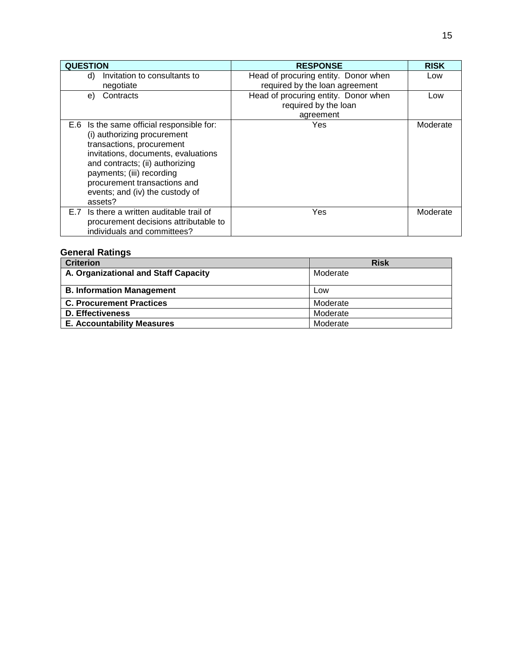| <b>QUESTION</b>                                                                                                                                                                                                                                                                            | <b>RESPONSE</b>                                                           | <b>RISK</b> |
|--------------------------------------------------------------------------------------------------------------------------------------------------------------------------------------------------------------------------------------------------------------------------------------------|---------------------------------------------------------------------------|-------------|
| Invitation to consultants to<br>d)<br>negotiate                                                                                                                                                                                                                                            | Head of procuring entity. Donor when<br>required by the loan agreement    | Low         |
| Contracts<br>e)                                                                                                                                                                                                                                                                            | Head of procuring entity. Donor when<br>required by the loan<br>agreement | Low         |
| E.6 Is the same official responsible for:<br>(i) authorizing procurement<br>transactions, procurement<br>invitations, documents, evaluations<br>and contracts; (ii) authorizing<br>payments; (iii) recording<br>procurement transactions and<br>events; and (iv) the custody of<br>assets? | Yes                                                                       | Moderate    |
| Is there a written auditable trail of<br>E.7<br>procurement decisions attributable to<br>individuals and committees?                                                                                                                                                                       | Yes                                                                       | Moderate    |

# **General Ratings**

| <b>Criterion</b>                     | <b>Risk</b> |
|--------------------------------------|-------------|
| A. Organizational and Staff Capacity | Moderate    |
|                                      |             |
| <b>B. Information Management</b>     | Low         |
| <b>C. Procurement Practices</b>      | Moderate    |
| <b>D. Effectiveness</b>              | Moderate    |
| <b>E. Accountability Measures</b>    | Moderate    |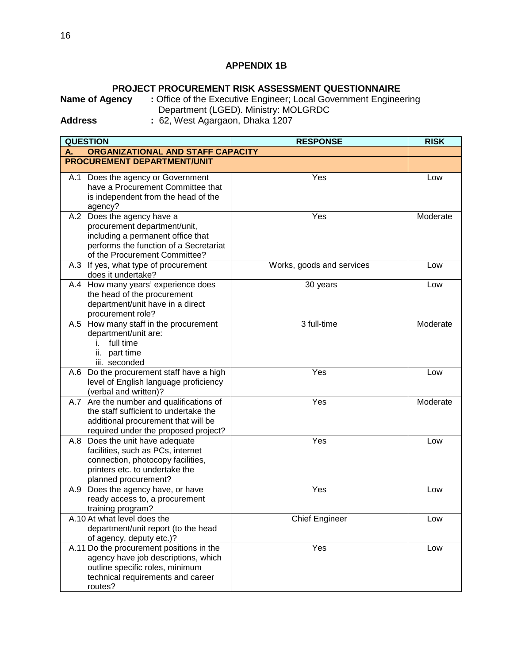## **APPENDIX 1B**

**PROJECT PROCUREMENT RISK ASSESSMENT QUESTIONNAIRE**<br>Office of the Executive Engineer; Local Government Engineer : Office of the Executive Engineer; Local Government Engineering Department (LGED). Ministry: MOLGRDC

**Address :** 62, West Agargaon, Dhaka 1207

|     | <b>QUESTION</b>                                                                                                                                                            | <b>RESPONSE</b>           | <b>RISK</b> |
|-----|----------------------------------------------------------------------------------------------------------------------------------------------------------------------------|---------------------------|-------------|
| А.  | ORGANIZATIONAL AND STAFF CAPACITY                                                                                                                                          |                           |             |
|     | <b>PROCUREMENT DEPARTMENT/UNIT</b>                                                                                                                                         |                           |             |
|     | A.1 Does the agency or Government<br>have a Procurement Committee that<br>is independent from the head of the<br>agency?                                                   | Yes                       | Low         |
|     | A.2 Does the agency have a<br>procurement department/unit,<br>including a permanent office that<br>performs the function of a Secretariat<br>of the Procurement Committee? | Yes                       | Moderate    |
|     | A.3 If yes, what type of procurement<br>does it undertake?                                                                                                                 | Works, goods and services | Low         |
|     | A.4 How many years' experience does<br>the head of the procurement<br>department/unit have in a direct<br>procurement role?                                                | 30 years                  | Low         |
|     | A.5 How many staff in the procurement<br>department/unit are:<br>full time<br>L.<br>ii. part time<br>iii. seconded                                                         | 3 full-time               | Moderate    |
|     | A.6 Do the procurement staff have a high<br>level of English language proficiency<br>(verbal and written)?                                                                 | Yes                       | Low         |
|     | A.7 Are the number and qualifications of<br>the staff sufficient to undertake the<br>additional procurement that will be<br>required under the proposed project?           | Yes                       | Moderate    |
|     | A.8 Does the unit have adequate<br>facilities, such as PCs, internet<br>connection, photocopy facilities,<br>printers etc. to undertake the<br>planned procurement?        | Yes                       | Low         |
| A.9 | Does the agency have, or have<br>ready access to, a procurement<br>training program?                                                                                       | Yes                       | Low         |
|     | A.10 At what level does the<br>department/unit report (to the head<br>of agency, deputy etc.)?                                                                             | <b>Chief Engineer</b>     | Low         |
|     | A.11 Do the procurement positions in the<br>agency have job descriptions, which<br>outline specific roles, minimum<br>technical requirements and career<br>routes?         | Yes                       | Low         |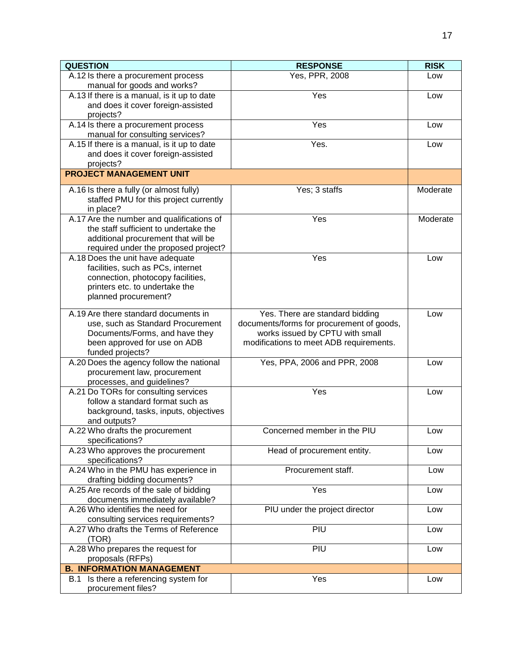| <b>QUESTION</b>                                                                                                                                                      | <b>RESPONSE</b>                                                                                                                                            | <b>RISK</b> |
|----------------------------------------------------------------------------------------------------------------------------------------------------------------------|------------------------------------------------------------------------------------------------------------------------------------------------------------|-------------|
| A.12 Is there a procurement process<br>manual for goods and works?                                                                                                   | Yes, PPR, 2008                                                                                                                                             | Low         |
| A.13 If there is a manual, is it up to date<br>and does it cover foreign-assisted<br>projects?                                                                       | Yes                                                                                                                                                        | Low         |
| A.14 Is there a procurement process<br>manual for consulting services?                                                                                               | Yes                                                                                                                                                        | Low         |
| A.15 If there is a manual, is it up to date<br>and does it cover foreign-assisted<br>projects?                                                                       | Yes.                                                                                                                                                       | Low         |
| <b>PROJECT MANAGEMENT UNIT</b>                                                                                                                                       |                                                                                                                                                            |             |
| A.16 Is there a fully (or almost fully)<br>staffed PMU for this project currently<br>in place?                                                                       | Yes; 3 staffs                                                                                                                                              | Moderate    |
| A.17 Are the number and qualifications of<br>the staff sufficient to undertake the<br>additional procurement that will be<br>required under the proposed project?    | Yes                                                                                                                                                        | Moderate    |
| A.18 Does the unit have adequate<br>facilities, such as PCs, internet<br>connection, photocopy facilities,<br>printers etc. to undertake the<br>planned procurement? | Yes                                                                                                                                                        | Low         |
| A.19 Are there standard documents in<br>use, such as Standard Procurement<br>Documents/Forms, and have they<br>been approved for use on ADB<br>funded projects?      | Yes. There are standard bidding<br>documents/forms for procurement of goods,<br>works issued by CPTU with small<br>modifications to meet ADB requirements. | Low         |
| A.20 Does the agency follow the national<br>procurement law, procurement<br>processes, and guidelines?                                                               | Yes, PPA, 2006 and PPR, 2008                                                                                                                               | Low         |
| A.21 Do TORs for consulting services<br>follow a standard format such as<br>background, tasks, inputs, objectives<br>and outputs?                                    | Yes                                                                                                                                                        | Low         |
| A.22 Who drafts the procurement<br>specifications?                                                                                                                   | Concerned member in the PIU                                                                                                                                | Low         |
| A.23 Who approves the procurement<br>specifications?                                                                                                                 | Head of procurement entity.                                                                                                                                | Low         |
| A.24 Who in the PMU has experience in<br>drafting bidding documents?                                                                                                 | Procurement staff.                                                                                                                                         | Low         |
| A.25 Are records of the sale of bidding<br>documents immediately available?                                                                                          | Yes                                                                                                                                                        | Low         |
| A.26 Who identifies the need for<br>consulting services requirements?                                                                                                | PIU under the project director                                                                                                                             | Low         |
| A.27 Who drafts the Terms of Reference<br>(TOR)                                                                                                                      | PIU                                                                                                                                                        | Low         |
| A.28 Who prepares the request for<br>proposals (RFPs)                                                                                                                | PIU                                                                                                                                                        | Low         |
| <b>B. INFORMATION MANAGEMENT</b>                                                                                                                                     |                                                                                                                                                            |             |
| B.1 Is there a referencing system for<br>procurement files?                                                                                                          | Yes                                                                                                                                                        | Low         |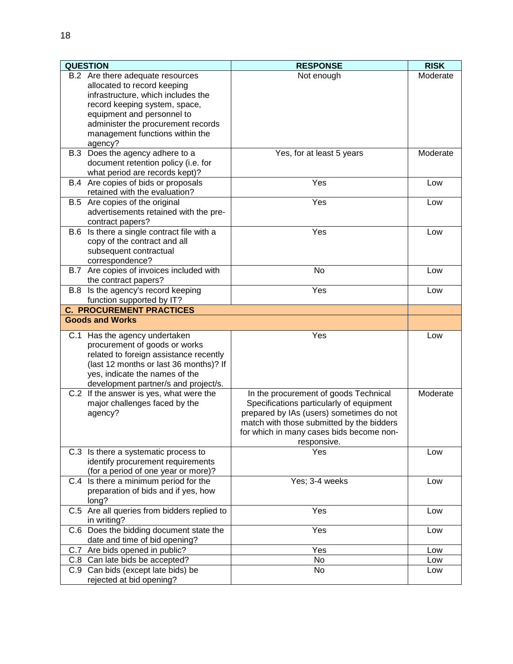| <b>QUESTION</b>                                                                                                                                                                                                                                          | <b>RESPONSE</b>                                                                                                                                                                                                                       | <b>RISK</b> |  |
|----------------------------------------------------------------------------------------------------------------------------------------------------------------------------------------------------------------------------------------------------------|---------------------------------------------------------------------------------------------------------------------------------------------------------------------------------------------------------------------------------------|-------------|--|
| B.2 Are there adequate resources<br>allocated to record keeping<br>infrastructure, which includes the<br>record keeping system, space,<br>equipment and personnel to<br>administer the procurement records<br>management functions within the<br>agency? | Not enough                                                                                                                                                                                                                            | Moderate    |  |
| B.3 Does the agency adhere to a<br>document retention policy (i.e. for<br>what period are records kept)?                                                                                                                                                 | Yes, for at least 5 years                                                                                                                                                                                                             | Moderate    |  |
| B.4 Are copies of bids or proposals<br>retained with the evaluation?                                                                                                                                                                                     | Yes                                                                                                                                                                                                                                   | Low         |  |
| B.5 Are copies of the original<br>advertisements retained with the pre-<br>contract papers?                                                                                                                                                              | Yes                                                                                                                                                                                                                                   | Low         |  |
| B.6 Is there a single contract file with a<br>copy of the contract and all<br>subsequent contractual<br>correspondence?                                                                                                                                  | Yes                                                                                                                                                                                                                                   | Low         |  |
| B.7 Are copies of invoices included with<br>the contract papers?                                                                                                                                                                                         | No                                                                                                                                                                                                                                    | Low         |  |
| B.8 Is the agency's record keeping<br>function supported by IT?                                                                                                                                                                                          | Yes                                                                                                                                                                                                                                   | Low         |  |
| <b>C. PROCUREMENT PRACTICES</b>                                                                                                                                                                                                                          |                                                                                                                                                                                                                                       |             |  |
| <b>Goods and Works</b>                                                                                                                                                                                                                                   |                                                                                                                                                                                                                                       |             |  |
| C.1 Has the agency undertaken<br>procurement of goods or works<br>related to foreign assistance recently<br>(last 12 months or last 36 months)? If<br>yes, indicate the names of the<br>development partner/s and project/s.                             | Yes                                                                                                                                                                                                                                   | Low         |  |
| C.2 If the answer is yes, what were the<br>major challenges faced by the<br>agency?                                                                                                                                                                      | In the procurement of goods Technical<br>Specifications particularly of equipment<br>prepared by IAs (users) sometimes do not<br>match with those submitted by the bidders<br>for which in many cases bids become non-<br>responsive. | Moderate    |  |
| C.3 Is there a systematic process to<br>identify procurement requirements<br>(for a period of one year or more)?                                                                                                                                         | Yes                                                                                                                                                                                                                                   | Low         |  |
| C.4 Is there a minimum period for the<br>preparation of bids and if yes, how<br>long?                                                                                                                                                                    | Yes; 3-4 weeks                                                                                                                                                                                                                        | Low         |  |
| C.5 Are all queries from bidders replied to<br>in writing?                                                                                                                                                                                               | Yes                                                                                                                                                                                                                                   | Low         |  |
| C.6 Does the bidding document state the<br>date and time of bid opening?                                                                                                                                                                                 | Yes                                                                                                                                                                                                                                   | Low         |  |
| C.7 Are bids opened in public?                                                                                                                                                                                                                           | Yes                                                                                                                                                                                                                                   | Low         |  |
| C.8 Can late bids be accepted?                                                                                                                                                                                                                           | No                                                                                                                                                                                                                                    | Low         |  |
| C.9 Can bids (except late bids) be<br>rejected at bid opening?                                                                                                                                                                                           | No                                                                                                                                                                                                                                    | Low         |  |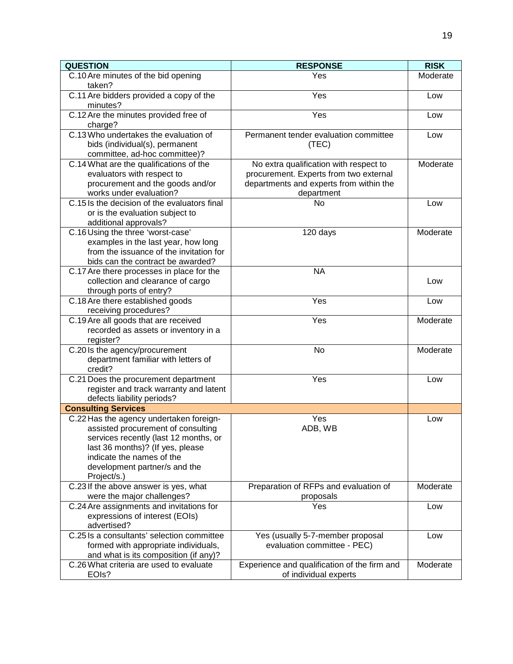| <b>QUESTION</b>                                                                                                                                                                                                                         | <b>RESPONSE</b>                                                                                                                           | <b>RISK</b> |
|-----------------------------------------------------------------------------------------------------------------------------------------------------------------------------------------------------------------------------------------|-------------------------------------------------------------------------------------------------------------------------------------------|-------------|
| C.10 Are minutes of the bid opening<br>taken?                                                                                                                                                                                           | Yes                                                                                                                                       | Moderate    |
| C.11 Are bidders provided a copy of the<br>minutes?                                                                                                                                                                                     | Yes                                                                                                                                       | Low         |
| C.12 Are the minutes provided free of<br>charge?                                                                                                                                                                                        | Yes                                                                                                                                       | Low         |
| C.13 Who undertakes the evaluation of<br>bids (individual(s), permanent<br>committee, ad-hoc committee)?                                                                                                                                | Permanent tender evaluation committee<br>(TEC)                                                                                            | Low         |
| C.14 What are the qualifications of the<br>evaluators with respect to<br>procurement and the goods and/or<br>works under evaluation?                                                                                                    | No extra qualification with respect to<br>procurement. Experts from two external<br>departments and experts from within the<br>department | Moderate    |
| C.15 Is the decision of the evaluators final<br>or is the evaluation subject to<br>additional approvals?                                                                                                                                | No                                                                                                                                        | Low         |
| C.16 Using the three 'worst-case'<br>examples in the last year, how long<br>from the issuance of the invitation for<br>bids can the contract be awarded?                                                                                | 120 days                                                                                                                                  | Moderate    |
| C.17 Are there processes in place for the<br>collection and clearance of cargo<br>through ports of entry?                                                                                                                               | <b>NA</b>                                                                                                                                 | Low         |
| C.18 Are there established goods<br>receiving procedures?                                                                                                                                                                               | Yes                                                                                                                                       | Low         |
| C.19 Are all goods that are received<br>recorded as assets or inventory in a<br>register?                                                                                                                                               | Yes                                                                                                                                       | Moderate    |
| C.20 Is the agency/procurement<br>department familiar with letters of<br>credit?                                                                                                                                                        | <b>No</b>                                                                                                                                 | Moderate    |
| C.21 Does the procurement department<br>register and track warranty and latent<br>defects liability periods?                                                                                                                            | Yes                                                                                                                                       | Low         |
| <b>Consulting Services</b>                                                                                                                                                                                                              |                                                                                                                                           |             |
| C.22 Has the agency undertaken foreign-<br>assisted procurement of consulting<br>services recently (last 12 months, or<br>last 36 months)? (If yes, please<br>indicate the names of the<br>development partner/s and the<br>Project/s.) | Yes<br>ADB, WB                                                                                                                            | Low         |
| C.23 If the above answer is yes, what<br>were the major challenges?                                                                                                                                                                     | Preparation of RFPs and evaluation of<br>proposals                                                                                        | Moderate    |
| C.24 Are assignments and invitations for<br>expressions of interest (EOIs)<br>advertised?                                                                                                                                               | Yes                                                                                                                                       | Low         |
| C.25 Is a consultants' selection committee<br>formed with appropriate individuals,<br>and what is its composition (if any)?                                                                                                             | Yes (usually 5-7-member proposal<br>evaluation committee - PEC)                                                                           | Low         |
| C.26 What criteria are used to evaluate<br>EOIs?                                                                                                                                                                                        | Experience and qualification of the firm and<br>of individual experts                                                                     | Moderate    |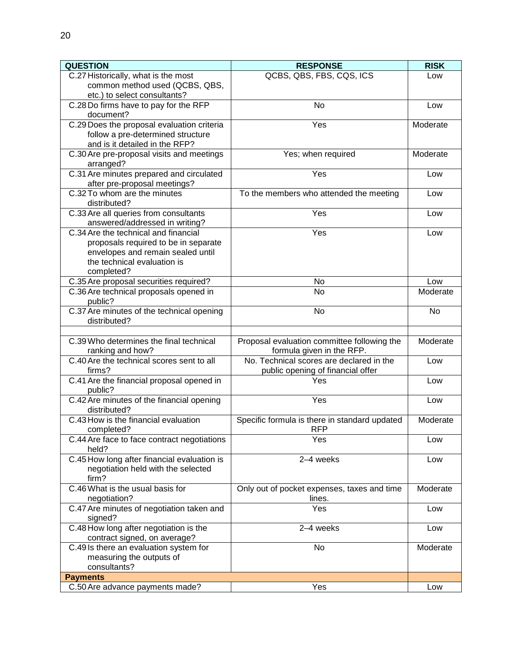| <b>QUESTION</b>                                                           | <b>RESPONSE</b>                               | <b>RISK</b> |  |
|---------------------------------------------------------------------------|-----------------------------------------------|-------------|--|
| C.27 Historically, what is the most                                       | QCBS, QBS, FBS, CQS, ICS                      | Low         |  |
| common method used (QCBS, QBS,<br>etc.) to select consultants?            |                                               |             |  |
| C.28 Do firms have to pay for the RFP                                     | No                                            | Low         |  |
| document?                                                                 |                                               |             |  |
| C.29 Does the proposal evaluation criteria                                | Yes                                           | Moderate    |  |
| follow a pre-determined structure                                         |                                               |             |  |
| and is it detailed in the RFP?                                            |                                               |             |  |
| C.30 Are pre-proposal visits and meetings<br>arranged?                    | Yes; when required                            | Moderate    |  |
| C.31 Are minutes prepared and circulated                                  | Yes                                           | Low         |  |
| after pre-proposal meetings?                                              |                                               |             |  |
| C.32 To whom are the minutes                                              | To the members who attended the meeting       | Low         |  |
| distributed?                                                              |                                               |             |  |
| C.33 Are all queries from consultants                                     | Yes                                           | Low         |  |
| answered/addressed in writing?                                            |                                               |             |  |
| C.34 Are the technical and financial                                      | Yes                                           | Low         |  |
| proposals required to be in separate<br>envelopes and remain sealed until |                                               |             |  |
| the technical evaluation is                                               |                                               |             |  |
| completed?                                                                |                                               |             |  |
| C.35 Are proposal securities required?                                    | No                                            | Low         |  |
| C.36 Are technical proposals opened in                                    | No                                            | Moderate    |  |
| public?                                                                   |                                               |             |  |
| C.37 Are minutes of the technical opening                                 | No                                            | No          |  |
| distributed?                                                              |                                               |             |  |
| C.39 Who determines the final technical                                   | Proposal evaluation committee following the   | Moderate    |  |
| ranking and how?                                                          | formula given in the RFP.                     |             |  |
| C.40 Are the technical scores sent to all                                 | No. Technical scores are declared in the      | Low         |  |
| firms?                                                                    | public opening of financial offer             |             |  |
| C.41 Are the financial proposal opened in<br>public?                      | Yes                                           | Low         |  |
| C.42 Are minutes of the financial opening                                 | Yes                                           | Low         |  |
| distributed?                                                              |                                               |             |  |
| C.43 How is the financial evaluation                                      | Specific formula is there in standard updated | Moderate    |  |
| completed?<br>C.44 Are face to face contract negotiations                 | <b>RFP</b><br>Yes                             | Low         |  |
| held?                                                                     |                                               |             |  |
| C.45 How long after financial evaluation is                               | 2-4 weeks                                     | Low         |  |
| negotiation held with the selected                                        |                                               |             |  |
| firm?                                                                     |                                               |             |  |
| C.46 What is the usual basis for                                          | Only out of pocket expenses, taxes and time   | Moderate    |  |
| negotiation?                                                              | lines.                                        |             |  |
| C.47 Are minutes of negotiation taken and<br>signed?                      | Yes                                           | Low         |  |
| C.48 How long after negotiation is the                                    | 2-4 weeks                                     | Low         |  |
| contract signed, on average?                                              |                                               |             |  |
| C.49 Is there an evaluation system for                                    | No                                            | Moderate    |  |
| measuring the outputs of                                                  |                                               |             |  |
| consultants?                                                              |                                               |             |  |
| <b>Payments</b>                                                           |                                               |             |  |
| C.50 Are advance payments made?                                           | Yes                                           | Low         |  |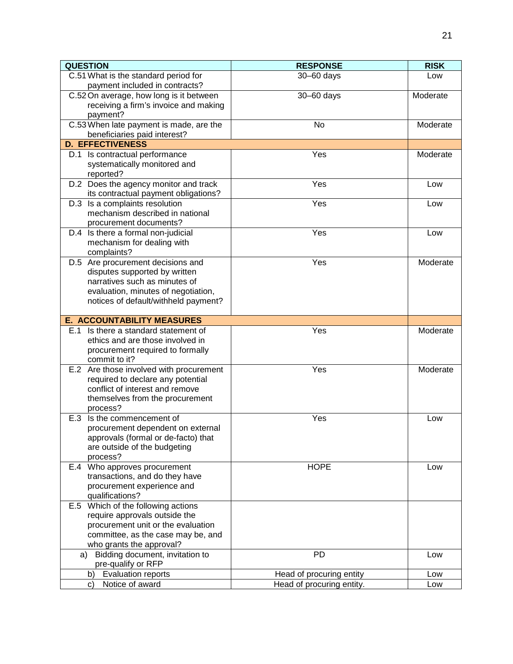| <b>QUESTION</b>                                                     | <b>RESPONSE</b>           | <b>RISK</b> |  |
|---------------------------------------------------------------------|---------------------------|-------------|--|
| C.51 What is the standard period for                                | $30 - 60$ days            | Low         |  |
| payment included in contracts?                                      |                           |             |  |
| C.52 On average, how long is it between                             | 30-60 days                | Moderate    |  |
| receiving a firm's invoice and making                               |                           |             |  |
| payment?                                                            |                           |             |  |
| C.53 When late payment is made, are the                             | No                        | Moderate    |  |
| beneficiaries paid interest?                                        |                           |             |  |
| <b>D. EFFECTIVENESS</b>                                             |                           |             |  |
| D.1 Is contractual performance                                      | Yes                       | Moderate    |  |
| systematically monitored and                                        |                           |             |  |
| reported?                                                           |                           |             |  |
| D.2 Does the agency monitor and track                               | Yes                       | Low         |  |
| its contractual payment obligations?                                |                           |             |  |
| D.3 Is a complaints resolution                                      | Yes                       | Low         |  |
| mechanism described in national                                     |                           |             |  |
| procurement documents?                                              | Yes                       | Low         |  |
| D.4 Is there a formal non-judicial<br>mechanism for dealing with    |                           |             |  |
| complaints?                                                         |                           |             |  |
| D.5 Are procurement decisions and                                   | Yes                       | Moderate    |  |
| disputes supported by written                                       |                           |             |  |
| narratives such as minutes of                                       |                           |             |  |
| evaluation, minutes of negotiation,                                 |                           |             |  |
| notices of default/withheld payment?                                |                           |             |  |
|                                                                     |                           |             |  |
| <b>E. ACCOUNTABILITY MEASURES</b>                                   |                           |             |  |
| E.1 Is there a standard statement of                                | Yes                       | Moderate    |  |
| ethics and are those involved in                                    |                           |             |  |
| procurement required to formally                                    |                           |             |  |
| commit to it?                                                       |                           |             |  |
| E.2 Are those involved with procurement                             | Yes                       | Moderate    |  |
| required to declare any potential                                   |                           |             |  |
| conflict of interest and remove                                     |                           |             |  |
| themselves from the procurement                                     |                           |             |  |
| process?                                                            |                           |             |  |
| Is the commencement of<br>E.3                                       | Yes                       | Low         |  |
| procurement dependent on external                                   |                           |             |  |
| approvals (formal or de-facto) that<br>are outside of the budgeting |                           |             |  |
| process?                                                            |                           |             |  |
| E.4 Who approves procurement                                        | <b>HOPE</b>               | Low         |  |
| transactions, and do they have                                      |                           |             |  |
| procurement experience and                                          |                           |             |  |
| qualifications?                                                     |                           |             |  |
| E.5 Which of the following actions                                  |                           |             |  |
| require approvals outside the                                       |                           |             |  |
| procurement unit or the evaluation                                  |                           |             |  |
| committee, as the case may be, and                                  |                           |             |  |
| who grants the approval?                                            |                           |             |  |
| Bidding document, invitation to<br>a)                               | <b>PD</b>                 | Low         |  |
| pre-qualify or RFP                                                  |                           |             |  |
| <b>Evaluation reports</b><br>b)                                     | Head of procuring entity  | Low         |  |
| Notice of award<br>C)                                               | Head of procuring entity. | Low         |  |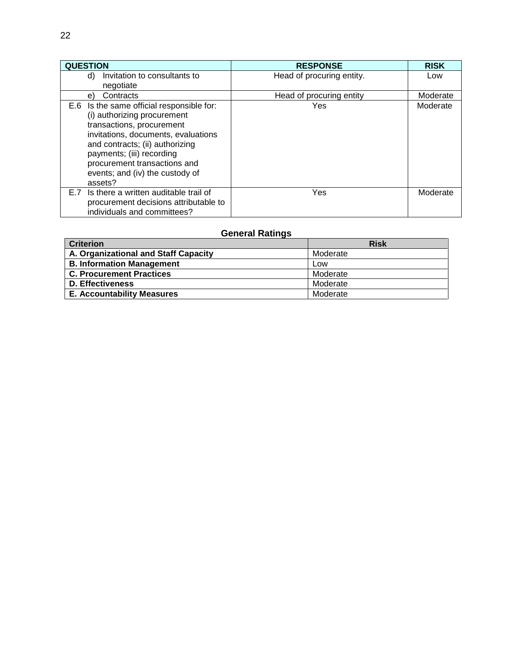| <b>QUESTION</b>                                                                                                                                                                                                                                                                            | <b>RESPONSE</b>           | <b>RISK</b> |
|--------------------------------------------------------------------------------------------------------------------------------------------------------------------------------------------------------------------------------------------------------------------------------------------|---------------------------|-------------|
| Invitation to consultants to<br>d)                                                                                                                                                                                                                                                         | Head of procuring entity. | Low         |
| negotiate                                                                                                                                                                                                                                                                                  |                           |             |
| Contracts<br>e)                                                                                                                                                                                                                                                                            | Head of procuring entity  | Moderate    |
| E.6 Is the same official responsible for:<br>(i) authorizing procurement<br>transactions, procurement<br>invitations, documents, evaluations<br>and contracts; (ii) authorizing<br>payments; (iii) recording<br>procurement transactions and<br>events; and (iv) the custody of<br>assets? | Yes                       | Moderate    |
| Is there a written auditable trail of<br>E.7<br>procurement decisions attributable to<br>individuals and committees?                                                                                                                                                                       | Yes                       | Moderate    |

# **General Ratings**

| <b>Criterion</b>                     | <b>Risk</b> |
|--------------------------------------|-------------|
| A. Organizational and Staff Capacity | Moderate    |
| <b>B. Information Management</b>     | Low         |
| <b>C. Procurement Practices</b>      | Moderate    |
| D. Effectiveness                     | Moderate    |
| <b>E. Accountability Measures</b>    | Moderate    |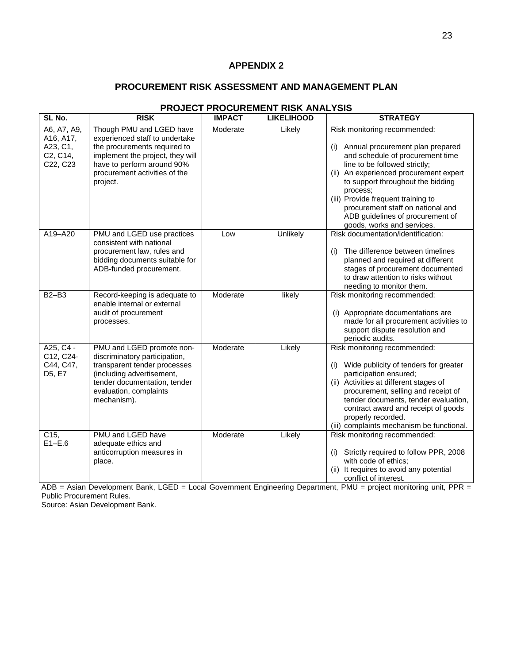## **APPENDIX 2**

#### **PROCUREMENT RISK ASSESSMENT AND MANAGEMENT PLAN**

| SL No.                                                       | <b>RISK</b>                                                                                                                                                                                               | <b>IMPACT</b> | <b>LIKELIHOOD</b> | <b>STRATEGY</b>                                                                                                                                                                                                                                                                                                                                                                      |
|--------------------------------------------------------------|-----------------------------------------------------------------------------------------------------------------------------------------------------------------------------------------------------------|---------------|-------------------|--------------------------------------------------------------------------------------------------------------------------------------------------------------------------------------------------------------------------------------------------------------------------------------------------------------------------------------------------------------------------------------|
| A6, A7, A9,<br>A16, A17,<br>A23, C1,<br>C2, C14,<br>C22, C23 | Though PMU and LGED have<br>experienced staff to undertake<br>the procurements required to<br>implement the project, they will<br>have to perform around 90%<br>procurement activities of the<br>project. | Moderate      | Likely            | Risk monitoring recommended:<br>Annual procurement plan prepared<br>(i)<br>and schedule of procurement time<br>line to be followed strictly;<br>(ii) An experienced procurement expert<br>to support throughout the bidding<br>process:<br>(iii) Provide frequent training to<br>procurement staff on national and<br>ADB guidelines of procurement of<br>goods, works and services. |
| A19-A20                                                      | PMU and LGED use practices<br>consistent with national<br>procurement law, rules and<br>bidding documents suitable for<br>ADB-funded procurement.                                                         | Low           | Unlikely          | Risk documentation/identification:<br>The difference between timelines<br>(i)<br>planned and required at different<br>stages of procurement documented<br>to draw attention to risks without<br>needing to monitor them.                                                                                                                                                             |
| <b>B2-B3</b>                                                 | Record-keeping is adequate to<br>enable internal or external<br>audit of procurement<br>processes.                                                                                                        | Moderate      | likely            | Risk monitoring recommended:<br>(i) Appropriate documentations are<br>made for all procurement activities to<br>support dispute resolution and<br>periodic audits.                                                                                                                                                                                                                   |
| $A25, C4 -$<br>C12, C24-<br>C44, C47,<br>D5, E7              | PMU and LGED promote non-<br>discriminatory participation,<br>transparent tender processes<br>(including advertisement,<br>tender documentation, tender<br>evaluation, complaints<br>mechanism).          | Moderate      | Likely            | Risk monitoring recommended:<br>Wide publicity of tenders for greater<br>(i)<br>participation ensured;<br>(ii) Activities at different stages of<br>procurement, selling and receipt of<br>tender documents, tender evaluation,<br>contract award and receipt of goods<br>properly recorded.<br>(iii) complaints mechanism be functional.                                            |
| C15,<br>$E1-E.6$                                             | PMU and LGED have<br>adequate ethics and<br>anticorruption measures in<br>place.                                                                                                                          | Moderate      | Likely            | Risk monitoring recommended:<br>Strictly required to follow PPR, 2008<br>(i)<br>with code of ethics;<br>(ii) It requires to avoid any potential<br>conflict of interest.                                                                                                                                                                                                             |

## **PROJECT PROCUREMENT RISK ANALYSIS**

ADB = Asian Development Bank, LGED = Local Government Engineering Department, PMU = project monitoring unit, PPR = Public Procurement Rules.

Source: Asian Development Bank.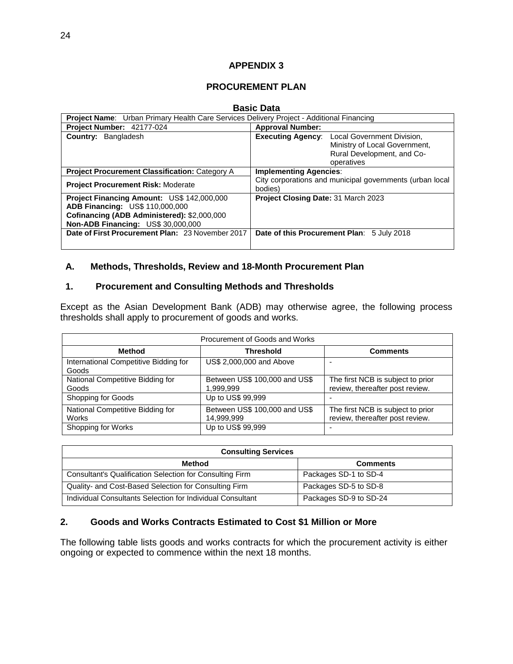#### **APPENDIX 3**

#### **PROCUREMENT PLAN**

#### **Basic Data**

|                                                                                                                                                                           | Project Name: Urban Primary Health Care Services Delivery Project - Additional Financing                                         |  |  |  |
|---------------------------------------------------------------------------------------------------------------------------------------------------------------------------|----------------------------------------------------------------------------------------------------------------------------------|--|--|--|
| Project Number: 42177-024                                                                                                                                                 | <b>Approval Number:</b>                                                                                                          |  |  |  |
| <b>Country: Bangladesh</b>                                                                                                                                                | <b>Executing Agency:</b> Local Government Division,<br>Ministry of Local Government,<br>Rural Development, and Co-<br>operatives |  |  |  |
| <b>Project Procurement Classification: Category A</b>                                                                                                                     | <b>Implementing Agencies:</b>                                                                                                    |  |  |  |
| <b>Project Procurement Risk: Moderate</b>                                                                                                                                 | City corporations and municipal governments (urban local<br>bodies)                                                              |  |  |  |
| Project Financing Amount: US\$ 142,000,000<br><b>ADB Financing: US\$ 110,000,000</b><br>Cofinancing (ADB Administered): \$2,000,000<br>Non-ADB Financing: US\$ 30,000,000 | Project Closing Date: 31 March 2023                                                                                              |  |  |  |
| Date of First Procurement Plan: 23 November 2017                                                                                                                          | Date of this Procurement Plan: 5 July 2018                                                                                       |  |  |  |

#### **A. Methods, Thresholds, Review and 18-Month Procurement Plan**

#### **1. Procurement and Consulting Methods and Thresholds**

Except as the Asian Development Bank (ADB) may otherwise agree, the following process thresholds shall apply to procurement of goods and works.

| Procurement of Goods and Works                   |                                             |                                                                      |  |  |  |  |
|--------------------------------------------------|---------------------------------------------|----------------------------------------------------------------------|--|--|--|--|
| <b>Method</b>                                    | <b>Threshold</b>                            | <b>Comments</b>                                                      |  |  |  |  |
| International Competitive Bidding for<br>Goods   | US\$ 2,000,000 and Above                    |                                                                      |  |  |  |  |
| National Competitive Bidding for<br>Goods        | Between US\$ 100,000 and US\$<br>1,999,999  | The first NCB is subject to prior<br>review, thereafter post review. |  |  |  |  |
| Shopping for Goods                               | Up to US\$ 99,999                           |                                                                      |  |  |  |  |
| National Competitive Bidding for<br><b>Works</b> | Between US\$ 100,000 and US\$<br>14,999,999 | The first NCB is subject to prior<br>review, thereafter post review. |  |  |  |  |
| Shopping for Works                               | Up to US\$ 99,999                           |                                                                      |  |  |  |  |

| <b>Consulting Services</b>                                 |                        |  |  |  |
|------------------------------------------------------------|------------------------|--|--|--|
| Method<br><b>Comments</b>                                  |                        |  |  |  |
| Consultant's Qualification Selection for Consulting Firm   | Packages SD-1 to SD-4  |  |  |  |
| Quality- and Cost-Based Selection for Consulting Firm      | Packages SD-5 to SD-8  |  |  |  |
| Individual Consultants Selection for Individual Consultant | Packages SD-9 to SD-24 |  |  |  |

## **2. Goods and Works Contracts Estimated to Cost \$1 Million or More**

The following table lists goods and works contracts for which the procurement activity is either ongoing or expected to commence within the next 18 months.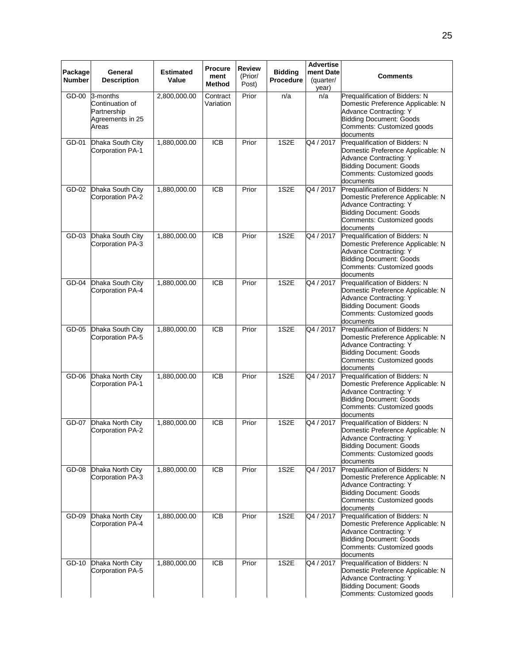|                          |                                                                         |                           | Procure               | <b>Review</b>    |                                    | <b>Advertise</b>                |                                                                                                                                                                                   |
|--------------------------|-------------------------------------------------------------------------|---------------------------|-----------------------|------------------|------------------------------------|---------------------------------|-----------------------------------------------------------------------------------------------------------------------------------------------------------------------------------|
| Package<br><b>Number</b> | General<br><b>Description</b>                                           | <b>Estimated</b><br>Value | ment<br>Method        | (Prior/<br>Post) | <b>Bidding</b><br><b>Procedure</b> | ment Date<br>(quarter/<br>year) | Comments                                                                                                                                                                          |
| $GD-00$                  | 3-months<br>Continuation of<br>Partnership<br>Agreements in 25<br>Areas | 2,800,000.00              | Contract<br>Variation | Prior            | n/a                                | n/a                             | Prequalification of Bidders: N<br>Domestic Preference Applicable: N<br>Advance Contracting: Y<br><b>Bidding Document: Goods</b><br>Comments: Customized goods<br>documents        |
| GD-01                    | Dhaka South City<br>Corporation PA-1                                    | 1,880,000.00              | $\overline{ICB}$      | Prior            | 1S2E                               | Q4 / 2017                       | Prequalification of Bidders: N<br>Domestic Preference Applicable: N<br>Advance Contracting: Y<br><b>Bidding Document: Goods</b><br>Comments: Customized goods<br>documents        |
| GD-02                    | Dhaka South City<br>Corporation PA-2                                    | 1,880,000.00              | <b>ICB</b>            | Prior            | 1S2E                               | Q4 / 2017                       | Prequalification of Bidders: N<br>Domestic Preference Applicable: N<br><b>Advance Contracting: Y</b><br><b>Bidding Document: Goods</b><br>Comments: Customized goods<br>documents |
| $GD-03$                  | Dhaka South City<br>Corporation PA-3                                    | 1,880,000.00              | <b>ICB</b>            | Prior            | 1S2E                               | Q4 / 2017                       | Prequalification of Bidders: N<br>Domestic Preference Applicable: N<br>Advance Contracting: Y<br><b>Bidding Document: Goods</b><br>Comments: Customized goods<br>documents        |
| GD-04                    | Dhaka South City<br>Corporation PA-4                                    | 1,880,000.00              | <b>ICB</b>            | Prior            | 1S2E                               | Q4 / 2017                       | Prequalification of Bidders: N<br>Domestic Preference Applicable: N<br><b>Advance Contracting: Y</b><br><b>Bidding Document: Goods</b><br>Comments: Customized goods<br>documents |
| GD-05                    | Dhaka South City<br>Corporation PA-5                                    | 1,880,000.00              | <b>ICB</b>            | Prior            | 1S2E                               | Q4 / 2017                       | Prequalification of Bidders: N<br>Domestic Preference Applicable: N<br>Advance Contracting: Y<br><b>Bidding Document: Goods</b><br>Comments: Customized goods<br>documents        |
| GD-06                    | Dhaka North City<br><b>Corporation PA-1</b>                             | 1,880,000.00              | <b>ICB</b>            | Prior            | 1S2E                               | $\sqrt{Q4 / 2017}$              | Prequalification of Bidders: N<br>Domestic Preference Applicable: N<br>Advance Contracting: Y<br><b>Bidding Document: Goods</b><br>Comments: Customized goods<br>documents        |
| GD-07                    | Dhaka North City<br>Corporation PA-2                                    | 1,880,000.00              | <b>ICB</b>            | Prior            | 1S2E                               | Q4 / 2017                       | Prequalification of Bidders: N<br>Domestic Preference Applicable: N<br>Advance Contracting: Y<br><b>Bidding Document: Goods</b><br>Comments: Customized goods<br>documents        |
| GD-08                    | Dhaka North City<br>Corporation PA-3                                    | 1,880,000.00              | <b>ICB</b>            | Prior            | 1S <sub>2</sub> E                  | Q4 / 2017                       | Prequalification of Bidders: N<br>Domestic Preference Applicable: N<br>Advance Contracting: Y<br><b>Bidding Document: Goods</b><br>Comments: Customized goods<br>documents        |
| GD-09                    | Dhaka North City<br>Corporation PA-4                                    | 1,880,000.00              | <b>ICB</b>            | Prior            | 1S2E                               | Q4 / 2017                       | Prequalification of Bidders: N<br>Domestic Preference Applicable: N<br><b>Advance Contracting: Y</b><br><b>Bidding Document: Goods</b><br>Comments: Customized goods<br>documents |
| GD-10                    | Dhaka North City<br>Corporation PA-5                                    | 1,880,000.00              | <b>ICB</b>            | Prior            | 1S2E                               | Q4 / 2017                       | Prequalification of Bidders: N<br>Domestic Preference Applicable: N<br>Advance Contracting: Y<br><b>Bidding Document: Goods</b><br>Comments: Customized goods                     |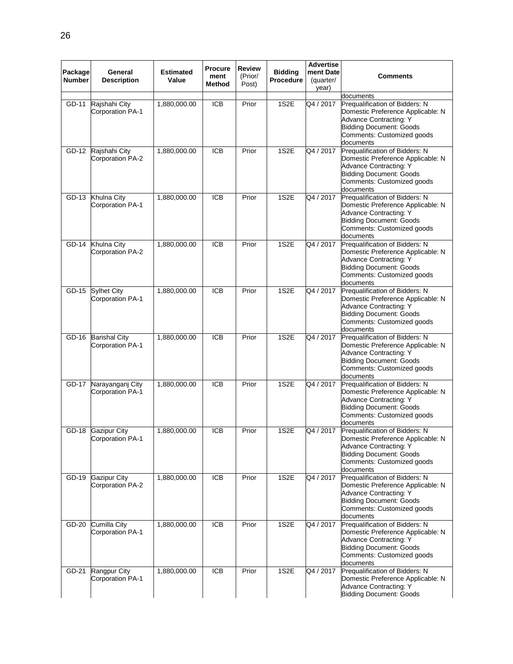|               |                                   |                  | <b>Procure</b>   | <b>Review</b> |                | <b>Advertise</b> |                                                                     |
|---------------|-----------------------------------|------------------|------------------|---------------|----------------|------------------|---------------------------------------------------------------------|
| Package       | General                           | <b>Estimated</b> | ment             | (Prior/       | <b>Bidding</b> | ment Date        | Comments                                                            |
| <b>Number</b> | <b>Description</b>                | Value            | Method           | Post)         | Procedure      | (quarter/        |                                                                     |
|               |                                   |                  |                  |               |                | year)            |                                                                     |
|               |                                   |                  |                  |               |                |                  | documents                                                           |
| GD-11         | Rajshahi City<br>Corporation PA-1 | 1,880,000.00     | <b>ICB</b>       | Prior         | 1S2E           | Q4 / 2017        | Prequalification of Bidders: N<br>Domestic Preference Applicable: N |
|               |                                   |                  |                  |               |                |                  | Advance Contracting: Y                                              |
|               |                                   |                  |                  |               |                |                  | <b>Bidding Document: Goods</b>                                      |
|               |                                   |                  |                  |               |                |                  | Comments: Customized goods                                          |
|               |                                   |                  |                  |               |                |                  | documents                                                           |
| GD-12         | Rajshahi City                     | 1,880,000.00     | <b>ICB</b>       | Prior         | 1S2E           | Q4 / 2017        | Prequalification of Bidders: N                                      |
|               | Corporation PA-2                  |                  |                  |               |                |                  | Domestic Preference Applicable: N                                   |
|               |                                   |                  |                  |               |                |                  | <b>Advance Contracting: Y</b>                                       |
|               |                                   |                  |                  |               |                |                  | <b>Bidding Document: Goods</b>                                      |
|               |                                   |                  |                  |               |                |                  | Comments: Customized goods                                          |
|               |                                   |                  |                  |               |                |                  | documents                                                           |
| GD-13         | Khulna City                       | 1,880,000.00     | <b>ICB</b>       | Prior         | 1S2E           | Q4 / 2017        | Prequalification of Bidders: N                                      |
|               | <b>Corporation PA-1</b>           |                  |                  |               |                |                  | Domestic Preference Applicable: N                                   |
|               |                                   |                  |                  |               |                |                  | Advance Contracting: Y<br><b>Bidding Document: Goods</b>            |
|               |                                   |                  |                  |               |                |                  | Comments: Customized goods                                          |
|               |                                   |                  |                  |               |                |                  | documents                                                           |
| GD-14         | Khulna City                       | 1,880,000.00     | $\overline{ICB}$ | Prior         | 1S2E           | Q4 / 2017        | Prequalification of Bidders: N                                      |
|               | Corporation PA-2                  |                  |                  |               |                |                  | Domestic Preference Applicable: N                                   |
|               |                                   |                  |                  |               |                |                  | Advance Contracting: Y                                              |
|               |                                   |                  |                  |               |                |                  | <b>Bidding Document: Goods</b>                                      |
|               |                                   |                  |                  |               |                |                  | Comments: Customized goods                                          |
|               |                                   |                  |                  |               |                |                  | documents                                                           |
| GD-15         | <b>Sylhet City</b>                | 1,880,000.00     | <b>ICB</b>       | Prior         | 1S2E           | Q4 / 2017        | Prequalification of Bidders: N                                      |
|               | Corporation PA-1                  |                  |                  |               |                |                  | Domestic Preference Applicable: N                                   |
|               |                                   |                  |                  |               |                |                  | Advance Contracting: Y                                              |
|               |                                   |                  |                  |               |                |                  | <b>Bidding Document: Goods</b>                                      |
|               |                                   |                  |                  |               |                |                  | Comments: Customized goods<br>documents                             |
| GD-16         | <b>Barishal City</b>              | 1,880,000.00     | <b>ICB</b>       | Prior         | 1S2E           | Q4 / 2017        | Prequalification of Bidders: N                                      |
|               | <b>Corporation PA-1</b>           |                  |                  |               |                |                  | Domestic Preference Applicable: N                                   |
|               |                                   |                  |                  |               |                |                  | Advance Contracting: Y                                              |
|               |                                   |                  |                  |               |                |                  | <b>Bidding Document: Goods</b>                                      |
|               |                                   |                  |                  |               |                |                  | Comments: Customized goods                                          |
|               |                                   |                  |                  |               |                |                  | documents                                                           |
| GD-17         | Narayanganj City                  | 1,880,000.00     | <b>ICB</b>       | Prior         | 1S2E           | Q4 / 2017        | Prequalification of Bidders: N                                      |
|               | <b>Corporation PA-1</b>           |                  |                  |               |                |                  | Domestic Preference Applicable: N                                   |
|               |                                   |                  |                  |               |                |                  | Advance Contracting: Y                                              |
|               |                                   |                  |                  |               |                |                  | <b>Bidding Document: Goods</b><br>Comments: Customized goods        |
|               |                                   |                  |                  |               |                |                  | documents                                                           |
|               | GD-18 Gazipur City                | 1,880,000.00     | $\overline{ICB}$ | Prior         | 1S2E           | Q4 / 2017        | Prequalification of Bidders: N                                      |
|               | Corporation PA-1                  |                  |                  |               |                |                  | Domestic Preference Applicable: N                                   |
|               |                                   |                  |                  |               |                |                  | Advance Contracting: Y                                              |
|               |                                   |                  |                  |               |                |                  | <b>Bidding Document: Goods</b>                                      |
|               |                                   |                  |                  |               |                |                  | Comments: Customized goods                                          |
|               |                                   |                  |                  |               |                |                  | documents                                                           |
| GD-19         | <b>Gazipur City</b>               | 1,880,000.00     | <b>ICB</b>       | Prior         | 1S2E           | Q4 / 2017        | Prequalification of Bidders: N                                      |
|               | Corporation PA-2                  |                  |                  |               |                |                  | Domestic Preference Applicable: N                                   |
|               |                                   |                  |                  |               |                |                  | Advance Contracting: Y                                              |
|               |                                   |                  |                  |               |                |                  | <b>Bidding Document: Goods</b>                                      |
|               |                                   |                  |                  |               |                |                  | Comments: Customized goods<br>documents                             |
| GD-20         | Cumilla City                      | 1,880,000.00     | <b>ICB</b>       | Prior         | 1S2E           | Q4 / 2017        | Prequalification of Bidders: N                                      |
|               | Corporation PA-1                  |                  |                  |               |                |                  | Domestic Preference Applicable: N                                   |
|               |                                   |                  |                  |               |                |                  | Advance Contracting: Y                                              |
|               |                                   |                  |                  |               |                |                  | <b>Bidding Document: Goods</b>                                      |
|               |                                   |                  |                  |               |                |                  | Comments: Customized goods                                          |
|               |                                   |                  |                  |               |                |                  | documents                                                           |
| GD-21         | Rangpur City                      | 1,880,000.00     | <b>ICB</b>       | Prior         | 1S2E           | Q4 / 2017        | Prequalification of Bidders: N                                      |
|               | Corporation PA-1                  |                  |                  |               |                |                  | Domestic Preference Applicable: N                                   |
|               |                                   |                  |                  |               |                |                  | Advance Contracting: Y                                              |
|               |                                   |                  |                  |               |                |                  | <b>Bidding Document: Goods</b>                                      |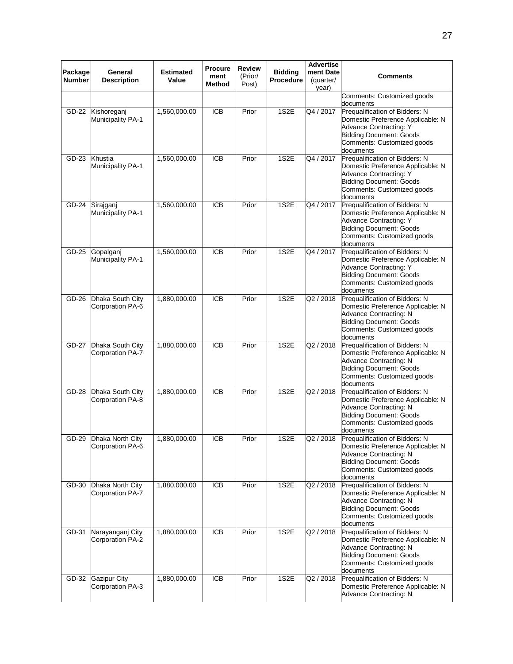| Package<br><b>Number</b> | General<br><b>Description</b>           | <b>Estimated</b><br>Value | <b>Procure</b><br>ment<br>Method | <b>Review</b><br>(Prior/<br>Post) | <b>Bidding</b><br>Procedure | <b>Advertise</b><br>ment Date<br>(quarter/<br>year) | <b>Comments</b>                                                                                                                                                                   |
|--------------------------|-----------------------------------------|---------------------------|----------------------------------|-----------------------------------|-----------------------------|-----------------------------------------------------|-----------------------------------------------------------------------------------------------------------------------------------------------------------------------------------|
|                          |                                         |                           |                                  |                                   |                             |                                                     | Comments: Customized goods<br>documents                                                                                                                                           |
| GD-22                    | Kishoreganj<br>Municipality PA-1        | 1,560,000.00              | <b>ICB</b>                       | Prior                             | 1S2E                        | Q4 / 2017                                           | Prequalification of Bidders: N<br>Domestic Preference Applicable: N<br>Advance Contracting: Y<br><b>Bidding Document: Goods</b><br>Comments: Customized goods<br>documents        |
| $GD-23$                  | Khustia<br>Municipality PA-1            | 1,560,000.00              | <b>ICB</b>                       | Prior                             | 1S <sub>2</sub> E           | Q4 / 2017                                           | Prequalification of Bidders: N<br>Domestic Preference Applicable: N<br>Advance Contracting: Y<br><b>Bidding Document: Goods</b><br>Comments: Customized goods<br>documents        |
| GD-24                    | Sirajganj<br>Municipality PA-1          | 1,560,000.00              | <b>ICB</b>                       | Prior                             | 1S2E                        | Q4 / 2017                                           | Prequalification of Bidders: N<br>Domestic Preference Applicable: N<br><b>Advance Contracting: Y</b><br><b>Bidding Document: Goods</b><br>Comments: Customized goods<br>documents |
| GD-25                    | Gopalganj<br>Municipality PA-1          | 1,560,000.00              | <b>ICB</b>                       | Prior                             | 1S2E                        | Q4 / 2017                                           | Prequalification of Bidders: N<br>Domestic Preference Applicable: N<br><b>Advance Contracting: Y</b><br><b>Bidding Document: Goods</b><br>Comments: Customized goods<br>documents |
| GD-26                    | Dhaka South City<br>Corporation PA-6    | 1,880,000.00              | <b>ICB</b>                       | Prior                             | 1S2E                        | Q2 / 2018                                           | Prequalification of Bidders: N<br>Domestic Preference Applicable: N<br>Advance Contracting: N<br><b>Bidding Document: Goods</b><br>Comments: Customized goods<br>documents        |
| GD-27                    | Dhaka South City<br>Corporation PA-7    | 1,880,000.00              | <b>ICB</b>                       | Prior                             | 1S2E                        | Q2 / 2018                                           | Prequalification of Bidders: N<br>Domestic Preference Applicable: N<br>Advance Contracting: N<br><b>Bidding Document: Goods</b><br>Comments: Customized goods<br>documents        |
| GD-28                    | Dhaka South City<br>Corporation PA-8    | 1,880,000.00              | $\overline{ICB}$                 | Prior                             | 1S2E                        | Q2 / 2018                                           | Prequalification of Bidders: N<br>Domestic Preference Applicable: N<br>Advance Contracting: N<br><b>Bidding Document: Goods</b><br>Comments: Customized goods<br>documents        |
| GD-29                    | Dhaka North City<br>Corporation PA-6    | 1,880,000.00              | ICB                              | Prior                             | 1S2E                        | Q2 / 2018                                           | Prequalification of Bidders: N<br>Domestic Preference Applicable: N<br>Advance Contracting: N<br><b>Bidding Document: Goods</b><br>Comments: Customized goods<br>documents        |
| GD-30                    | Dhaka North City<br>Corporation PA-7    | 1,880,000.00              | <b>ICB</b>                       | Prior                             | 1S2E                        | Q2 / 2018                                           | Prequalification of Bidders: N<br>Domestic Preference Applicable: N<br>Advance Contracting: N<br><b>Bidding Document: Goods</b><br>Comments: Customized goods<br>documents        |
| GD-31                    | Narayanganj City<br>Corporation PA-2    | 1,880,000.00              | <b>ICB</b>                       | Prior                             | 1S2E                        | Q2 / 2018                                           | Prequalification of Bidders: N<br>Domestic Preference Applicable: N<br>Advance Contracting: N<br><b>Bidding Document: Goods</b><br>Comments: Customized goods<br>documents        |
| GD-32                    | <b>Gazipur City</b><br>Corporation PA-3 | 1,880,000.00              | <b>ICB</b>                       | Prior                             | 1S2E                        | Q <sub>2</sub> / 2018                               | Prequalification of Bidders: N<br>Domestic Preference Applicable: N<br>Advance Contracting: N                                                                                     |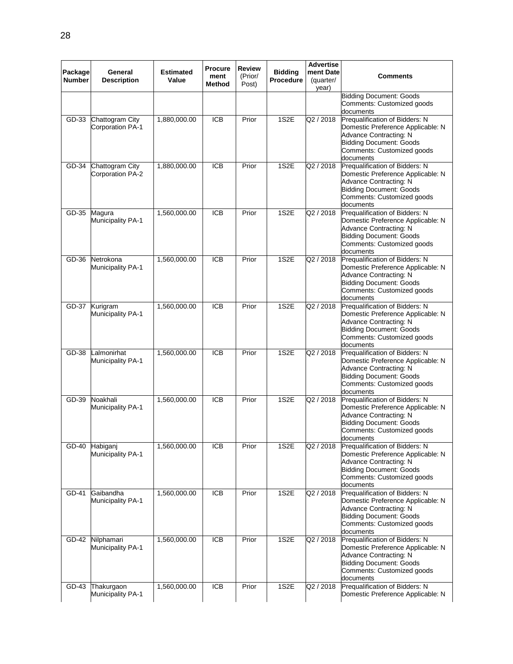| Package       | General                                    | <b>Estimated</b> | <b>Procure</b>   | Review           | <b>Bidding</b>   | <b>Advertise</b><br>ment Date |                                                                                                                                                                            |
|---------------|--------------------------------------------|------------------|------------------|------------------|------------------|-------------------------------|----------------------------------------------------------------------------------------------------------------------------------------------------------------------------|
| <b>Number</b> | <b>Description</b>                         | Value            | ment<br>Method   | (Prior/<br>Post) | <b>Procedure</b> | (quarter/<br>year)            | <b>Comments</b>                                                                                                                                                            |
|               |                                            |                  |                  |                  |                  |                               | <b>Bidding Document: Goods</b><br>Comments: Customized goods<br>documents                                                                                                  |
| GD-33         | Chattogram City<br><b>Corporation PA-1</b> | 1,880,000.00     | <b>ICB</b>       | Prior            | 1S2E             | Q2 / 2018                     | Prequalification of Bidders: N<br>Domestic Preference Applicable: N<br>Advance Contracting: N<br><b>Bidding Document: Goods</b><br>Comments: Customized goods<br>documents |
| GD-34         | Chattogram City<br>Corporation PA-2        | 1,880,000.00     | $\overline{ICB}$ | Prior            | 1S2E             | Q2 / 2018                     | Prequalification of Bidders: N<br>Domestic Preference Applicable: N<br>Advance Contracting: N<br><b>Bidding Document: Goods</b><br>Comments: Customized goods<br>documents |
| GD-35         | Magura<br>Municipality PA-1                | 1,560,000.00     | <b>ICB</b>       | Prior            | 1S2E             | Q2 / 2018                     | Prequalification of Bidders: N<br>Domestic Preference Applicable: N<br>Advance Contracting: N<br>Bidding Document: Goods<br>Comments: Customized goods<br>documents        |
| GD-36         | Netrokona<br>Municipality PA-1             | 1,560,000.00     | <b>ICB</b>       | Prior            | 1S2E             | Q2 / 2018                     | Prequalification of Bidders: N<br>Domestic Preference Applicable: N<br>Advance Contracting: N<br><b>Bidding Document: Goods</b><br>Comments: Customized goods<br>documents |
| GD-37         | Kurigram<br><b>Municipality PA-1</b>       | 1,560,000.00     | <b>ICB</b>       | Prior            | 1S2E             | Q2 / 2018                     | Prequalification of Bidders: N<br>Domestic Preference Applicable: N<br>Advance Contracting: N<br><b>Bidding Document: Goods</b><br>Comments: Customized goods<br>documents |
| GD-38         | Lalmonirhat<br>Municipality PA-1           | 1,560,000.00     | $\overline{ICB}$ | Prior            | 1S2E             | Q2 / 2018                     | Prequalification of Bidders: N<br>Domestic Preference Applicable: N<br>Advance Contracting: N<br><b>Bidding Document: Goods</b><br>Comments: Customized goods<br>documents |
| GD-39         | Noakhali<br>Municipality PA-1              | 1,560,000.00     | <b>ICB</b>       | Prior            | 1S2E             | Q2 / 2018                     | Prequalification of Bidders: N<br>Domestic Preference Applicable: N<br>Advance Contracting: N<br><b>Bidding Document: Goods</b><br>Comments: Customized goods<br>aocuments |
| GD-40         | Habiganj<br>Municipality PA-1              | 1,560,000.00     | <b>ICB</b>       | Prior            | 1S2E             | Q2 / 2018                     | Prequalification of Bidders: N<br>Domestic Preference Applicable: N<br>Advance Contracting: N<br><b>Bidding Document: Goods</b><br>Comments: Customized goods<br>documents |
| GD-41         | Gaibandha<br><b>Municipality PA-1</b>      | 1,560,000.00     | <b>ICB</b>       | Prior            | 1S2E             | Q2 / 2018                     | Prequalification of Bidders: N<br>Domestic Preference Applicable: N<br>Advance Contracting: N<br><b>Bidding Document: Goods</b><br>Comments: Customized goods<br>documents |
| GD-42         | Nilphamari<br>Municipality PA-1            | 1,560,000.00     | <b>ICB</b>       | Prior            | 1S2E             | $Q$ 2 / 2018                  | Prequalification of Bidders: N<br>Domestic Preference Applicable: N<br>Advance Contracting: N<br><b>Bidding Document: Goods</b><br>Comments: Customized goods<br>documents |
| GD-43         | Thakurgaon<br><b>Municipality PA-1</b>     | 1,560,000.00     | $\overline{ICB}$ | Prior            | 1S2E             | Q2 / 2018                     | Prequalification of Bidders: N<br>Domestic Preference Applicable: N                                                                                                        |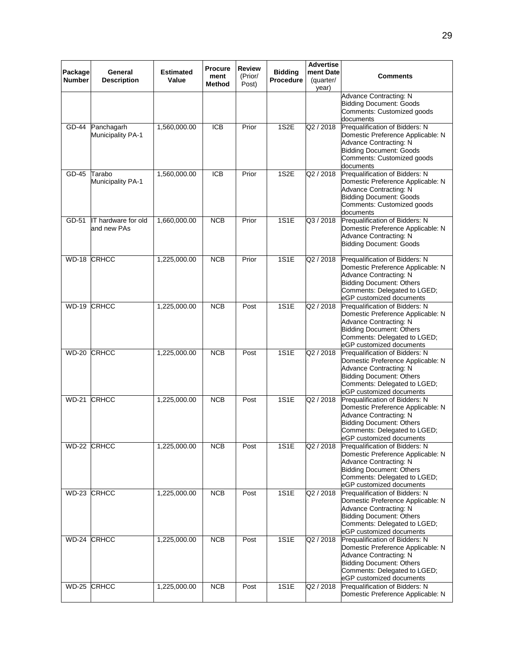| Package<br><b>Number</b>  | General<br><b>Description</b>      | <b>Estimated</b><br>Value | <b>Procure</b><br>ment<br>Method | <b>Review</b><br>(Prior/<br>Post) | <b>Bidding</b><br>Procedure | <b>Advertise</b><br>ment Date<br>(quarter/ | Comments                                                                                                                                                                                     |
|---------------------------|------------------------------------|---------------------------|----------------------------------|-----------------------------------|-----------------------------|--------------------------------------------|----------------------------------------------------------------------------------------------------------------------------------------------------------------------------------------------|
|                           |                                    |                           |                                  |                                   |                             | year)                                      | Advance Contracting: N<br><b>Bidding Document: Goods</b><br>Comments: Customized goods<br>documents                                                                                          |
| GD-44                     | Panchagarh<br>Municipality PA-1    | 1,560,000.00              | <b>ICB</b>                       | Prior                             | 1S2E                        | Q2 / 2018                                  | Prequalification of Bidders: N<br>Domestic Preference Applicable: N<br>Advance Contracting: N<br>Bidding Document: Goods<br>Comments: Customized goods<br>documents                          |
| GD-45                     | Tarabo<br>Municipality PA-1        | 1,560,000.00              | <b>ICB</b>                       | Prior                             | 1S2E                        | Q2 / 2018                                  | Prequalification of Bidders: N<br>Domestic Preference Applicable: N<br>Advance Contracting: N<br><b>Bidding Document: Goods</b><br>Comments: Customized goods<br>documents                   |
| GD-51                     | IT hardware for old<br>and new PAs | 1,660,000.00              | <b>NCB</b>                       | Prior                             | <b>1S1E</b>                 | Q3 / 2018                                  | Prequalification of Bidders: N<br>Domestic Preference Applicable: N<br>Advance Contracting: N<br><b>Bidding Document: Goods</b>                                                              |
| WD-18 CRHCC               |                                    | 1,225,000.00              | <b>NCB</b>                       | Prior                             | 1S1E                        | Q2 / 2018                                  | Prequalification of Bidders: N<br>Domestic Preference Applicable: N<br>Advance Contracting: N<br><b>Bidding Document: Others</b><br>Comments: Delegated to LGED;<br>eGP customized documents |
| WD-19                     | CRHCC                              | 1,225,000.00              | <b>NCB</b>                       | Post                              | 1S1E                        | Q2 / 2018                                  | Prequalification of Bidders: N<br>Domestic Preference Applicable: N<br>Advance Contracting: N<br><b>Bidding Document: Others</b><br>Comments: Delegated to LGED;<br>eGP customized documents |
| $\overline{\text{WD-20}}$ | <b>CRHCC</b>                       | 1,225,000.00              | NCB                              | Post                              | 1S1E                        | Q2 / 2018                                  | Prequalification of Bidders: N<br>Domestic Preference Applicable: N<br>Advance Contracting: N<br><b>Bidding Document: Others</b><br>Comments: Delegated to LGED;<br>eGP customized documents |
| <b>WD-21</b>              | <b>CRHCC</b>                       | 1,225,000.00              | <b>NCB</b>                       | Post                              | 1S1E                        | Q2 / 2018                                  | Pregualification of Bidders: N<br>Domestic Preference Applicable: N<br>Advance Contracting: N<br><b>Bidding Document: Others</b><br>Comments: Delegated to LGED;<br>eGP customized documents |
| WD-22 CRHCC               |                                    | 1,225,000.00              | <b>NCB</b>                       | Post                              | <b>1S1E</b>                 | Q2 / 2018                                  | Prequalification of Bidders: N<br>Domestic Preference Applicable: N<br>Advance Contracting: N<br><b>Bidding Document: Others</b><br>Comments: Delegated to LGED;<br>eGP customized documents |
| WD-23 CRHCC               |                                    | 1,225,000.00              | <b>NCB</b>                       | Post                              | <b>1S1E</b>                 | Q2 / 2018                                  | Prequalification of Bidders: N<br>Domestic Preference Applicable: N<br>Advance Contracting: N<br><b>Bidding Document: Others</b><br>Comments: Delegated to LGED;<br>eGP customized documents |
| WD-24 CRHCC               |                                    | 1,225,000.00              | NCB                              | Post                              | 1S1E                        | Q2 / 2018                                  | Prequalification of Bidders: N<br>Domestic Preference Applicable: N<br>Advance Contracting: N<br><b>Bidding Document: Others</b><br>Comments: Delegated to LGED;<br>eGP customized documents |
|                           | WD-25 CRHCC                        | 1,225,000.00              | NCB                              | Post                              | 1S1E                        | Q2 / 2018                                  | Prequalification of Bidders: N<br>Domestic Preference Applicable: N                                                                                                                          |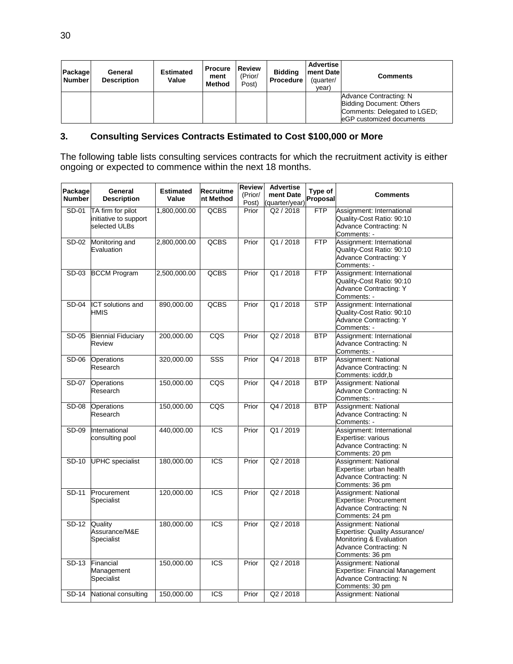| Package<br><b>Number</b> | General<br><b>Description</b> | <b>Estimated</b><br>Value | <b>Procure</b><br>ment<br><b>Method</b> | Review<br>(Prior/<br>Post) | <b>Bidding</b><br><b>Procedure</b> | <b>Advertise</b><br>ment Date<br>(quarter/<br>year) | <b>Comments</b>                                                                                                 |
|--------------------------|-------------------------------|---------------------------|-----------------------------------------|----------------------------|------------------------------------|-----------------------------------------------------|-----------------------------------------------------------------------------------------------------------------|
|                          |                               |                           |                                         |                            |                                    |                                                     | Advance Contracting: N<br>Bidding Document: Others<br>Comments: Delegated to LGED;<br>leGP customized documents |

# **3. Consulting Services Contracts Estimated to Cost \$100,000 or More**

The following table lists consulting services contracts for which the recruitment activity is either ongoing or expected to commence within the next 18 months.

| Package<br><b>Number</b> | General<br><b>Description</b>                               | <b>Estimated</b><br>Value | Recruitme<br>nt Method | <b>Review</b><br>(Prior/<br>Post) | <b>Advertise</b><br>ment Date<br>(quarter/year) | Type of<br>Proposal | <b>Comments</b>                                                                                                               |
|--------------------------|-------------------------------------------------------------|---------------------------|------------------------|-----------------------------------|-------------------------------------------------|---------------------|-------------------------------------------------------------------------------------------------------------------------------|
| SD-01                    | TA firm for pilot<br>initiative to support<br>selected ULBs | 1,800,000.00              | <b>QCBS</b>            | Prior                             | Q2 / 2018                                       | <b>FTP</b>          | Assignment: International<br>Quality-Cost Ratio: 90:10<br>Advance Contracting: N<br>Comments: -                               |
| SD-02                    | Monitoring and<br>Evaluation                                | 2,800,000.00              | <b>QCBS</b>            | Prior                             | Q1/2018                                         | <b>FTP</b>          | Assignment: International<br>Quality-Cost Ratio: 90:10<br>Advance Contracting: Y<br>Comments: -                               |
| SD-03                    | <b>BCCM Program</b>                                         | 2,500,000.00              | <b>QCBS</b>            | Prior                             | Q1/2018                                         | FTP                 | Assignment: International<br>Quality-Cost Ratio: 90:10<br><b>Advance Contracting: Y</b><br>Comments: -                        |
| <b>SD-04</b>             | <b>ICT</b> solutions and<br>HMIS                            | 890,000.00                | <b>QCBS</b>            | Prior                             | Q1/2018                                         | <b>STP</b>          | Assignment: International<br>Quality-Cost Ratio: 90:10<br><b>Advance Contracting: Y</b><br>Comments: -                        |
| SD-05                    | <b>Biennial Fiduciary</b><br>Review                         | 200,000.00                | CQS                    | Prior                             | Q2 / 2018                                       | <b>BTP</b>          | Assignment: International<br><b>Advance Contracting: N</b><br>Comments: -                                                     |
| SD-06                    | <b>Operations</b><br>Research                               | 320,000.00                | SSS                    | Prior                             | Q4 / 2018                                       | <b>BTP</b>          | Assignment: National<br>Advance Contracting: N<br>Comments: icddr,b                                                           |
| SD-07                    | Operations<br>Research                                      | 150,000.00                | CQS                    | Prior                             | Q4 / 2018                                       | <b>BTP</b>          | Assignment: National<br><b>Advance Contracting: N</b><br>Comments: -                                                          |
| <b>SD-08</b>             | <b>Operations</b><br>Research                               | 150,000.00                | CQS                    | Prior                             | Q4 / 2018                                       | <b>BTP</b>          | Assignment: National<br>Advance Contracting: N<br>Comments: -                                                                 |
| SD-09                    | International<br>consulting pool                            | 440,000.00                | <b>ICS</b>             | Prior                             | Q1/2019                                         |                     | Assignment: International<br>Expertise: various<br>Advance Contracting: N<br>Comments: 20 pm                                  |
| SD-10                    | <b>UPHC</b> specialist                                      | 180,000.00                | <b>ICS</b>             | Prior                             | Q2 / 2018                                       |                     | Assignment: National<br>Expertise: urban health<br>Advance Contracting: N<br>Comments: 36 pm                                  |
| SD-11                    | Procurement<br>Specialist                                   | 120,000.00                | <b>ICS</b>             | Prior                             | Q2 / 2018                                       |                     | Assignment: National<br>Expertise: Procurement<br><b>Advance Contracting: N</b><br>Comments: 24 pm                            |
| SD-12                    | Quality<br>Assurance/M&E<br>Specialist                      | 180,000.00                | ICS                    | Prior                             | Q2 / 2018                                       |                     | Assignment: National<br>Expertise: Quality Assurance/<br>Monitoring & Evaluation<br>Advance Contracting: N<br>Comments: 36 pm |
| SD-13                    | Financial<br>Management<br>Specialist                       | 150,000.00                | <b>ICS</b>             | Prior                             | Q2 / 2018                                       |                     | Assignment: National<br>Expertise: Financial Management<br>Advance Contracting: N<br>Comments: 30 pm                          |
| SD-14                    | National consulting                                         | 150,000.00                | <b>ICS</b>             | Prior                             | Q2 / 2018                                       |                     | Assignment: National                                                                                                          |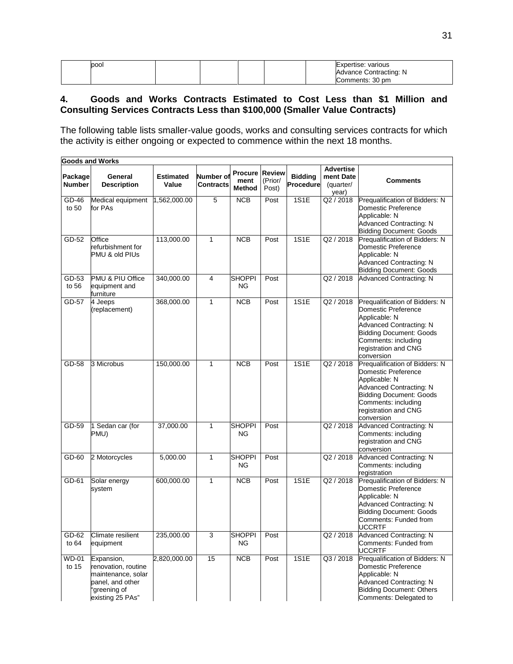| pool |  |  | Expertise: various<br>Advance Contracting: N |
|------|--|--|----------------------------------------------|
|      |  |  | Comments: 30 pm                              |

## **4. Goods and Works Contracts Estimated to Cost Less than \$1 Million and Consulting Services Contracts Less than \$100,000 (Smaller Value Contracts)**

The following table lists smaller-value goods, works and consulting services contracts for which the activity is either ongoing or expected to commence within the next 18 months.

|                          | <b>Goods and Works</b>                                                                                          |                           |                                      |                                         |                                   |                                    |                                                     |                                                                                                                                                                                                         |  |  |  |  |
|--------------------------|-----------------------------------------------------------------------------------------------------------------|---------------------------|--------------------------------------|-----------------------------------------|-----------------------------------|------------------------------------|-----------------------------------------------------|---------------------------------------------------------------------------------------------------------------------------------------------------------------------------------------------------------|--|--|--|--|
| Package<br><b>Number</b> | General<br><b>Description</b>                                                                                   | <b>Estimated</b><br>Value | <b>Number of</b><br><b>Contracts</b> | <b>Procure</b><br>ment<br><b>Method</b> | <b>Review</b><br>(Prior/<br>Post) | <b>Bidding</b><br><b>Procedure</b> | <b>Advertise</b><br>ment Date<br>(quarter/<br>year) | <b>Comments</b>                                                                                                                                                                                         |  |  |  |  |
| GD-46<br>to 50           | Medical equipment<br>for PAs                                                                                    | 1,562,000.00              | 5                                    | <b>NCB</b>                              | Post                              | 1S1E                               | Q2 / 2018                                           | Prequalification of Bidders: N<br>Domestic Preference<br>Applicable: N<br>Advanced Contracting: N<br><b>Bidding Document: Goods</b>                                                                     |  |  |  |  |
| GD-52                    | Office<br>refurbishment for<br>PMU & old PIUs                                                                   | 113,000.00                | $\mathbf{1}$                         | <b>NCB</b>                              | Post                              | <b>1S1E</b>                        | Q2/2018                                             | Prequalification of Bidders: N<br>Domestic Preference<br>Applicable: N<br>Advanced Contracting: N<br><b>Bidding Document: Goods</b>                                                                     |  |  |  |  |
| GD-53<br>to 56           | PMU & PIU Office<br>equipment and<br>furniture                                                                  | 340,000.00                | $\overline{4}$                       | <b>SHOPPI</b><br>ΝG                     | Post                              |                                    | Q2 / 2018                                           | <b>Advanced Contracting: N</b>                                                                                                                                                                          |  |  |  |  |
| GD-57                    | 4 Jeeps<br>(replacement)                                                                                        | 368,000.00                | $\mathbf{1}$                         | <b>NCB</b>                              | Post                              | 1S1E                               | Q2 / 2018                                           | Prequalification of Bidders: N<br>Domestic Preference<br>Applicable: N<br>Advanced Contracting: N<br><b>Bidding Document: Goods</b><br>Comments: including<br>registration and CNG<br>conversion        |  |  |  |  |
| GD-58                    | 3 Microbus                                                                                                      | 150,000.00                | $\mathbf{1}$                         | <b>NCB</b>                              | Post                              | 1S1E                               | Q2 / 2018                                           | Prequalification of Bidders: N<br>Domestic Preference<br>Applicable: N<br><b>Advanced Contracting: N</b><br><b>Bidding Document: Goods</b><br>Comments: including<br>registration and CNG<br>conversion |  |  |  |  |
| GD-59                    | 1 Sedan car (for<br>PMU)                                                                                        | 37,000.00                 | $\mathbf{1}$                         | <b>SHOPPI</b><br>ΝG                     | Post                              |                                    | Q2 / 2018                                           | Advanced Contracting: N<br>Comments: including<br>registration and CNG<br>conversion                                                                                                                    |  |  |  |  |
| GD-60                    | 2 Motorcycles                                                                                                   | 5,000.00                  | $\mathbf{1}$                         | <b>SHOPPI</b><br><b>NG</b>              | Post                              |                                    | Q2 / 2018                                           | Advanced Contracting: N<br>Comments: including<br>registration                                                                                                                                          |  |  |  |  |
| GD-61                    | Solar energy<br>system                                                                                          | 600,000.00                | $\mathbf{1}$                         | NCB                                     | Post                              | 1S1E                               | Q2/2018                                             | Prequalification of Bidders: N<br>Domestic Preference<br>Applicable: N<br>Advanced Contracting: N<br><b>Bidding Document: Goods</b><br>Comments: Funded from<br><b>UCCRTF</b>                           |  |  |  |  |
| GD-62<br>to $64$         | Climate resilient<br>equipment                                                                                  | 235,000.00                | 3                                    | <b>SHOPPI</b><br>ΝG                     | Post                              |                                    | Q2 / 2018                                           | Advanced Contracting: N<br>Comments: Funded from<br><b>UCCRTF</b>                                                                                                                                       |  |  |  |  |
| <b>WD-01</b><br>to 15    | Expansion,<br>renovation, routine<br>maintenance, solar<br>panel, and other<br>'greening of<br>existing 25 PAs" | 2,820,000.00              | 15                                   | <b>NCB</b>                              | Post                              | 1S1E                               | Q3 / 2018                                           | Prequalification of Bidders: N<br>Domestic Preference<br>Applicable: N<br>Advanced Contracting: N<br><b>Bidding Document: Others</b><br>Comments: Delegated to                                          |  |  |  |  |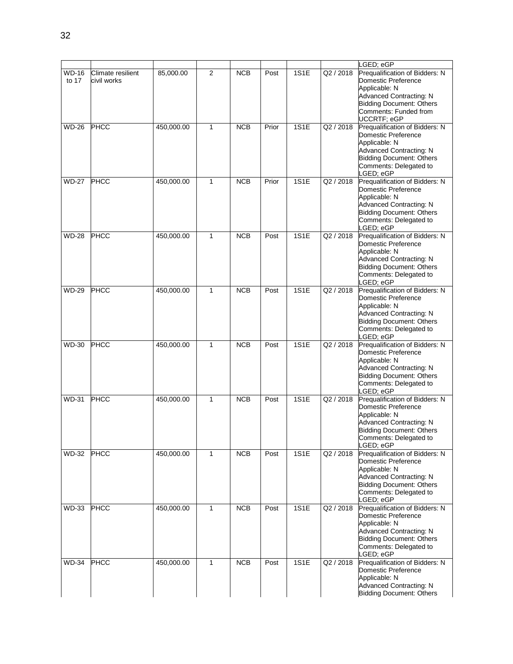|                       |                                  |            |                |            |       |             |           | LGED; eGP                                                                                                                                                                          |
|-----------------------|----------------------------------|------------|----------------|------------|-------|-------------|-----------|------------------------------------------------------------------------------------------------------------------------------------------------------------------------------------|
| <b>WD-16</b><br>to 17 | Climate resilient<br>civil works | 85,000.00  | $\overline{2}$ | <b>NCB</b> | Post  | 1S1E        | Q2 / 2018 | Prequalification of Bidders: N<br>Domestic Preference<br>Applicable: N<br>Advanced Contracting: N<br><b>Bidding Document: Others</b><br>Comments: Funded from<br>UCCRTF; eGP       |
| <b>WD-26</b>          | <b>PHCC</b>                      | 450,000.00 | 1              | <b>NCB</b> | Prior | <b>1S1E</b> | Q2 / 2018 | Prequalification of Bidders: N<br>Domestic Preference<br>Applicable: N<br>Advanced Contracting: N<br><b>Bidding Document: Others</b><br>Comments: Delegated to<br>LGED; eGP        |
| <b>WD-27</b>          | <b>PHCC</b>                      | 450,000.00 | 1              | <b>NCB</b> | Prior | 1S1E        | Q2 / 2018 | Prequalification of Bidders: N<br>Domestic Preference<br>Applicable: N<br>Advanced Contracting: N<br><b>Bidding Document: Others</b><br>Comments: Delegated to<br>LGED; eGP        |
| <b>WD-28</b>          | <b>PHCC</b>                      | 450,000.00 | $\mathbf{1}$   | <b>NCB</b> | Post  | 1S1E        | Q2 / 2018 | Prequalification of Bidders: N<br>Domestic Preference<br>Applicable: N<br>Advanced Contracting: N<br><b>Bidding Document: Others</b><br>Comments: Delegated to<br>LGED; eGP        |
| <b>WD-29</b>          | PHCC                             | 450,000.00 | 1              | <b>NCB</b> | Post  | 1S1E        | Q2 / 2018 | Prequalification of Bidders: N<br>Domestic Preference<br>Applicable: N<br><b>Advanced Contracting: N</b><br><b>Bidding Document: Others</b><br>Comments: Delegated to<br>LGED; eGP |
| <b>WD-30</b>          | <b>PHCC</b>                      | 450,000.00 | 1              | <b>NCB</b> | Post  | 1S1E        | Q2 / 2018 | Prequalification of Bidders: N<br>Domestic Preference<br>Applicable: N<br><b>Advanced Contracting: N</b><br><b>Bidding Document: Others</b><br>Comments: Delegated to<br>LGED; eGP |
| <b>WD-31</b>          | <b>PHCC</b>                      | 450,000.00 | $\mathbf{1}$   | <b>NCB</b> | Post  | 1S1E        | Q2 / 2018 | Prequalification of Bidders: N<br>Domestic Preference<br>Applicable: N<br><b>Advanced Contracting: N</b><br><b>Bidding Document: Others</b><br>Comments: Delegated to<br>LGED; eGP |
| <b>WD-32</b>          | <b>PHCC</b>                      | 450,000.00 | $\mathbf{1}$   | <b>NCB</b> | Post  | <b>1S1E</b> | Q2 / 2018 | Prequalification of Bidders: N<br>Domestic Preference<br>Applicable: N<br>Advanced Contracting: N<br><b>Bidding Document: Others</b><br>Comments: Delegated to<br>LGED; eGP        |
| <b>WD-33</b>          | <b>PHCC</b>                      | 450,000.00 | $\mathbf{1}$   | <b>NCB</b> | Post  | 1S1E        | Q2 / 2018 | Prequalification of Bidders: N<br>Domestic Preference<br>Applicable: N<br><b>Advanced Contracting: N</b><br><b>Bidding Document: Others</b><br>Comments: Delegated to<br>LGED; eGP |
| <b>WD-34</b>          | <b>PHCC</b>                      | 450,000.00 | $\mathbf{1}$   | <b>NCB</b> | Post  | <b>1S1E</b> | Q2 / 2018 | Prequalification of Bidders: N<br>Domestic Preference<br>Applicable: N<br>Advanced Contracting: N<br><b>Bidding Document: Others</b>                                               |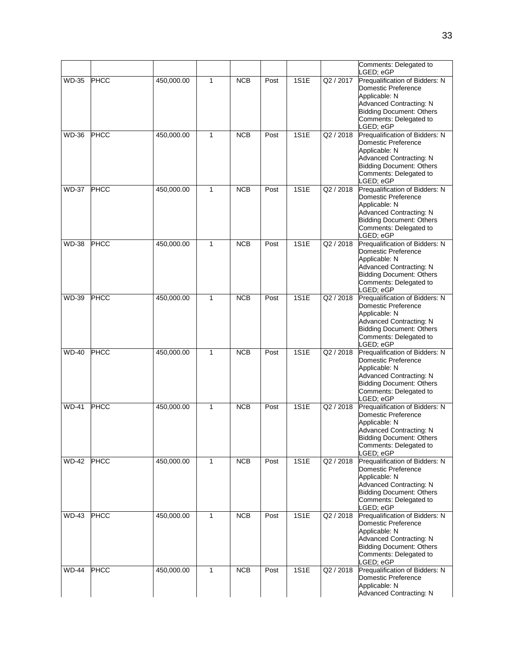|              |             |            |              |            |      |             |           | Comments: Delegated to                                                                                                                                                             |
|--------------|-------------|------------|--------------|------------|------|-------------|-----------|------------------------------------------------------------------------------------------------------------------------------------------------------------------------------------|
|              |             |            |              |            |      |             |           | LGED; eGP                                                                                                                                                                          |
| WD-35        | <b>PHCC</b> | 450,000.00 | 1            | <b>NCB</b> | Post | 1S1E        | Q2 / 2017 | Prequalification of Bidders: N<br>Domestic Preference<br>Applicable: N<br><b>Advanced Contracting: N</b><br><b>Bidding Document: Others</b><br>Comments: Delegated to<br>LGED; eGP |
| WD-36        | <b>PHCC</b> | 450,000.00 | $\mathbf{1}$ | <b>NCB</b> | Post | 1S1E        | Q2 / 2018 | Prequalification of Bidders: N<br>Domestic Preference<br>Applicable: N<br>Advanced Contracting: N<br><b>Bidding Document: Others</b><br>Comments: Delegated to<br>LGED; eGP        |
| <b>WD-37</b> | <b>PHCC</b> | 450,000.00 | $\mathbf{1}$ | <b>NCB</b> | Post | 1S1E        | Q2 / 2018 | Prequalification of Bidders: N<br>Domestic Preference<br>Applicable: N<br>Advanced Contracting: N<br><b>Bidding Document: Others</b><br>Comments: Delegated to<br>LGED; eGP        |
| <b>WD-38</b> | <b>PHCC</b> | 450,000.00 | $\mathbf{1}$ | <b>NCB</b> | Post | 1S1E        | Q2 / 2018 | Prequalification of Bidders: N<br>Domestic Preference<br>Applicable: N<br>Advanced Contracting: N<br><b>Bidding Document: Others</b><br>Comments: Delegated to<br>LGED; eGP        |
| WD-39        | <b>PHCC</b> | 450,000.00 | $\mathbf{1}$ | <b>NCB</b> | Post | <b>1S1E</b> | Q2 / 2018 | Prequalification of Bidders: N<br>Domestic Preference<br>Applicable: N<br><b>Advanced Contracting: N</b><br><b>Bidding Document: Others</b><br>Comments: Delegated to<br>LGED; eGP |
| <b>WD-40</b> | <b>PHCC</b> | 450,000.00 | $\mathbf{1}$ | <b>NCB</b> | Post | 1S1E        | Q2 / 2018 | Prequalification of Bidders: N<br>Domestic Preference<br>Applicable: N<br><b>Advanced Contracting: N</b><br><b>Bidding Document: Others</b><br>Comments: Delegated to<br>LGED; eGP |
| WD-41        | <b>PHCC</b> | 450,000.00 | 1            | <b>NCB</b> | Post | 1S1E        | Q2 / 2018 | Prequalification of Bidders: N<br>Domestic Preference<br>Applicable: N<br><b>Advanced Contracting: N</b><br>Bidding Document: Others<br>Comments: Delegated to<br>LGED; eGP        |
| <b>WD-42</b> | PHCC        | 450,000.00 | $\mathbf{1}$ | NCB        | Post | 1S1E        | Q2 / 2018 | Prequalification of Bidders: N<br>Domestic Preference<br>Applicable: N<br>Advanced Contracting: N<br><b>Bidding Document: Others</b><br>Comments: Delegated to<br>LGED; eGP        |
| <b>WD-43</b> | <b>PHCC</b> | 450,000.00 | 1            | <b>NCB</b> | Post | 1S1E        | Q2 / 2018 | Prequalification of Bidders: N<br>Domestic Preference<br>Applicable: N<br>Advanced Contracting: N<br><b>Bidding Document: Others</b><br>Comments: Delegated to<br>LGED; eGP        |
| <b>WD-44</b> | <b>PHCC</b> | 450,000.00 | $\mathbf{1}$ | <b>NCB</b> | Post | 1S1E        | Q2 / 2018 | Prequalification of Bidders: N<br>Domestic Preference<br>Applicable: N<br>Advanced Contracting: N                                                                                  |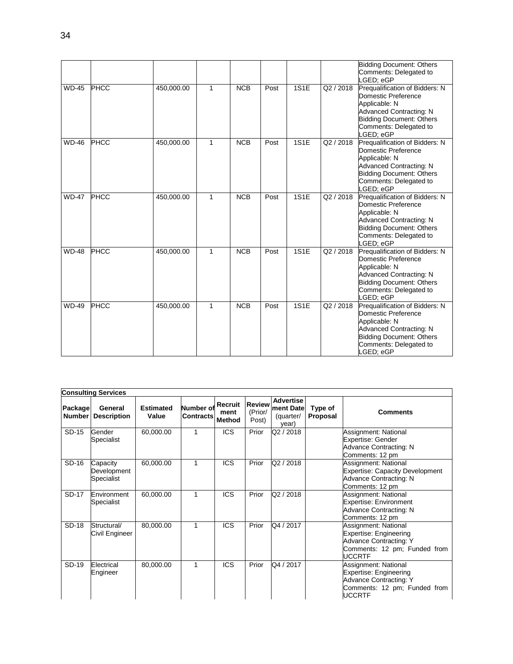|              |             |            |              |            |      |             |           | <b>Bidding Document: Others</b><br>Comments: Delegated to<br>LGED: eGP                                                                                                             |
|--------------|-------------|------------|--------------|------------|------|-------------|-----------|------------------------------------------------------------------------------------------------------------------------------------------------------------------------------------|
| <b>WD-45</b> | <b>PHCC</b> | 450,000.00 | $\mathbf{1}$ | NCB        | Post | 1S1E        | Q2 / 2018 | Prequalification of Bidders: N<br>Domestic Preference<br>Applicable: N<br><b>Advanced Contracting: N</b><br><b>Bidding Document: Others</b><br>Comments: Delegated to<br>LGED; eGP |
| <b>WD-46</b> | <b>PHCC</b> | 450,000.00 | 1            | NCB        | Post | 1S1E        | Q2 / 2018 | Prequalification of Bidders: N<br>Domestic Preference<br>Applicable: N<br>Advanced Contracting: N<br><b>Bidding Document: Others</b><br>Comments: Delegated to<br>LGED: eGP        |
| <b>WD-47</b> | <b>PHCC</b> | 450,000.00 | $\mathbf{1}$ | <b>NCB</b> | Post | <b>1S1E</b> | Q2 / 2018 | Prequalification of Bidders: N<br>Domestic Preference<br>Applicable: N<br>Advanced Contracting: N<br><b>Bidding Document: Others</b><br>Comments: Delegated to<br>LGED: eGP        |
| <b>WD-48</b> | <b>PHCC</b> | 450,000.00 | 1            | <b>NCB</b> | Post | 1S1E        | Q2 / 2018 | Prequalification of Bidders: N<br>Domestic Preference<br>Applicable: N<br><b>Advanced Contracting: N</b><br><b>Bidding Document: Others</b><br>Comments: Delegated to<br>LGED; eGP |
| <b>WD-49</b> | <b>PHCC</b> | 450,000.00 | 1            | <b>NCB</b> | Post | 1S1E        | Q2 / 2018 | Prequalification of Bidders: N<br>Domestic Preference<br>Applicable: N<br><b>Advanced Contracting: N</b><br><b>Bidding Document: Others</b><br>Comments: Delegated to<br>LGED: eGP |

|                   | <b>Consulting Services</b>            |                           |                               |                                  |                                   |                                                     |                     |                                                                                                                                  |  |  |  |  |
|-------------------|---------------------------------------|---------------------------|-------------------------------|----------------------------------|-----------------------------------|-----------------------------------------------------|---------------------|----------------------------------------------------------------------------------------------------------------------------------|--|--|--|--|
| Package<br>Number | General<br><b>Description</b>         | <b>Estimated</b><br>Value | Number of<br><b>Contracts</b> | Recruit<br>ment<br><b>Method</b> | <b>Review</b><br>(Prior/<br>Post) | <b>Advertise</b><br>ment Date<br>(quarter/<br>year) | Type of<br>Proposal | <b>Comments</b>                                                                                                                  |  |  |  |  |
| SD-15             | Gender<br>Specialist                  | 60,000.00                 |                               | <b>ICS</b>                       | Prior                             | Q2 / 2018                                           |                     | Assignment: National<br>Expertise: Gender<br>Advance Contracting: N<br>Comments: 12 pm                                           |  |  |  |  |
| SD-16             | Capacity<br>Development<br>Specialist | 60,000.00                 | 1                             | <b>ICS</b>                       | Prior                             | Q2 / 2018                                           |                     | Assignment: National<br><b>Expertise: Capacity Development</b><br>Advance Contracting: N<br>Comments: 12 pm                      |  |  |  |  |
| SD-17             | Environment<br>Specialist             | 60,000.00                 | 1                             | <b>ICS</b>                       | Prior                             | Q2 / 2018                                           |                     | Assignment: National<br><b>Expertise: Environment</b><br><b>Advance Contracting: N</b><br>Comments: 12 pm                        |  |  |  |  |
| SD-18             | Structural/<br>Civil Engineer         | 80,000.00                 | 1                             | <b>ICS</b>                       | Prior                             | Q4 / 2017                                           |                     | Assignment: National<br>Expertise: Engineering<br>Advance Contracting: Y<br>Comments: 12 pm; Funded from<br><b>UCCRTF</b>        |  |  |  |  |
| SD-19             | Electrical<br>Engineer                | 80,000.00                 | 1                             | <b>ICS</b>                       | Prior                             | Q4 / 2017                                           |                     | Assignment: National<br>Expertise: Engineering<br><b>Advance Contracting: Y</b><br>Comments: 12 pm; Funded from<br><b>UCCRTF</b> |  |  |  |  |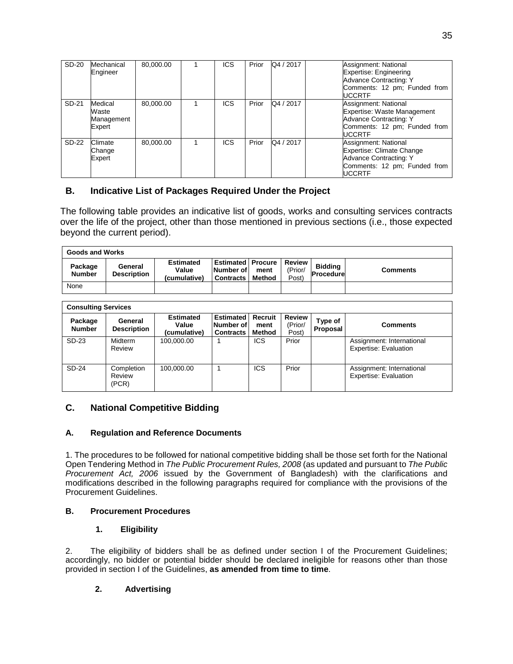| SD-20 | Mechanical<br>Engineer                   | 80,000.00 | ICS        | Prior | Q4 / 2017 | Assignment: National<br>Expertise: Engineering<br><b>Advance Contracting: Y</b><br>Comments: 12 pm; Funded from<br>UCCRTF           |
|-------|------------------------------------------|-----------|------------|-------|-----------|-------------------------------------------------------------------------------------------------------------------------------------|
| SD-21 | Medical<br>Waste<br>Management<br>Expert | 80.000.00 | <b>ICS</b> | Prior | Q4 / 2017 | Assignment: National<br>Expertise: Waste Management<br>Advance Contracting: Y<br>Comments: 12 pm; Funded from<br><b>UCCRTF</b>      |
| SD-22 | Climate<br>Change<br>Expert              | 80.000.00 | ICS        | Prior | Q4 / 2017 | Assignment: National<br>Expertise: Climate Change<br><b>Advance Contracting: Y</b><br>Comments: 12 pm; Funded from<br><b>UCCRTF</b> |

## **B. Indicative List of Packages Required Under the Project**

The following table provides an indicative list of goods, works and consulting services contracts over the life of the project, other than those mentioned in previous sections (i.e., those expected beyond the current period).

| <b>Goods and Works</b>   |                               |                                           |                                                           |                |                            |                                    |                 |  |
|--------------------------|-------------------------------|-------------------------------------------|-----------------------------------------------------------|----------------|----------------------------|------------------------------------|-----------------|--|
| Package<br><b>Number</b> | General<br><b>Description</b> | <b>Estimated</b><br>Value<br>(cumulative) | <b>Estimated Procure</b><br>Number of<br><b>Contracts</b> | ment<br>Method | Review<br>(Prior/<br>Post) | <b>Biddina</b><br><b>Procedure</b> | <b>Comments</b> |  |
| None                     |                               |                                           |                                                           |                |                            |                                    |                 |  |

| <b>Consulting Services</b> |                               |                                           |                                                   |                           |                                   |                     |                                                           |  |
|----------------------------|-------------------------------|-------------------------------------------|---------------------------------------------------|---------------------------|-----------------------------------|---------------------|-----------------------------------------------------------|--|
| Package<br><b>Number</b>   | General<br><b>Description</b> | <b>Estimated</b><br>Value<br>(cumulative) | <b>Estimated</b><br>Number of<br><b>Contracts</b> | Recruit<br>ment<br>Method | <b>Review</b><br>(Prior/<br>Post) | Type of<br>Proposal | <b>Comments</b>                                           |  |
| SD-23                      | <b>Midterm</b><br>Review      | 100.000.00                                |                                                   | ICS                       | Prior                             |                     | Assignment: International<br><b>Expertise: Evaluation</b> |  |
| SD-24                      | Completion<br>Review<br>(PCR) | 100.000.00                                |                                                   | <b>ICS</b>                | Prior                             |                     | Assignment: International<br><b>Expertise: Evaluation</b> |  |

## **C. National Competitive Bidding**

#### **A. Regulation and Reference Documents**

1. The procedures to be followed for national competitive bidding shall be those set forth for the National Open Tendering Method in *The Public Procurement Rules, 2008* (as updated and pursuant to *The Public Procurement Act, 2006* issued by the Government of Bangladesh) with the clarifications and modifications described in the following paragraphs required for compliance with the provisions of the Procurement Guidelines.

#### **B. Procurement Procedures**

#### **1. Eligibility**

2. The eligibility of bidders shall be as defined under section I of the Procurement Guidelines; accordingly, no bidder or potential bidder should be declared ineligible for reasons other than those provided in section I of the Guidelines, **as amended from time to time**.

## **2. Advertising**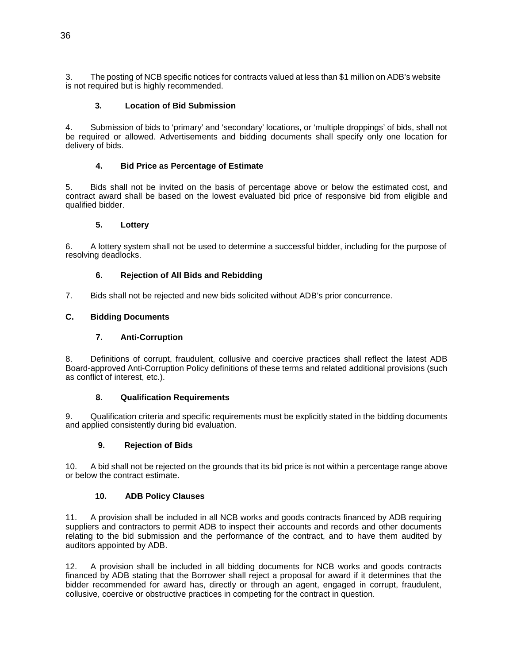3. The posting of NCB specific notices for contracts valued at less than \$1 million on ADB's website is not required but is highly recommended.

#### **3. Location of Bid Submission**

4. Submission of bids to 'primary' and 'secondary' locations, or 'multiple droppings' of bids, shall not be required or allowed. Advertisements and bidding documents shall specify only one location for delivery of bids.

#### **4. Bid Price as Percentage of Estimate**

5. Bids shall not be invited on the basis of percentage above or below the estimated cost, and contract award shall be based on the lowest evaluated bid price of responsive bid from eligible and qualified bidder.

#### **5. Lottery**

6. A lottery system shall not be used to determine a successful bidder, including for the purpose of resolving deadlocks.

#### **6. Rejection of All Bids and Rebidding**

7. Bids shall not be rejected and new bids solicited without ADB's prior concurrence.

#### **C. Bidding Documents**

#### **7. Anti-Corruption**

8. Definitions of corrupt, fraudulent, collusive and coercive practices shall reflect the latest ADB Board-approved Anti-Corruption Policy definitions of these terms and related additional provisions (such as conflict of interest, etc.).

#### **8. Qualification Requirements**

9. Qualification criteria and specific requirements must be explicitly stated in the bidding documents and applied consistently during bid evaluation.

#### **9. Rejection of Bids**

10. A bid shall not be rejected on the grounds that its bid price is not within a percentage range above or below the contract estimate.

#### **10. ADB Policy Clauses**

11. A provision shall be included in all NCB works and goods contracts financed by ADB requiring suppliers and contractors to permit ADB to inspect their accounts and records and other documents relating to the bid submission and the performance of the contract, and to have them audited by auditors appointed by ADB.

12. A provision shall be included in all bidding documents for NCB works and goods contracts financed by ADB stating that the Borrower shall reject a proposal for award if it determines that the bidder recommended for award has, directly or through an agent, engaged in corrupt, fraudulent, collusive, coercive or obstructive practices in competing for the contract in question.